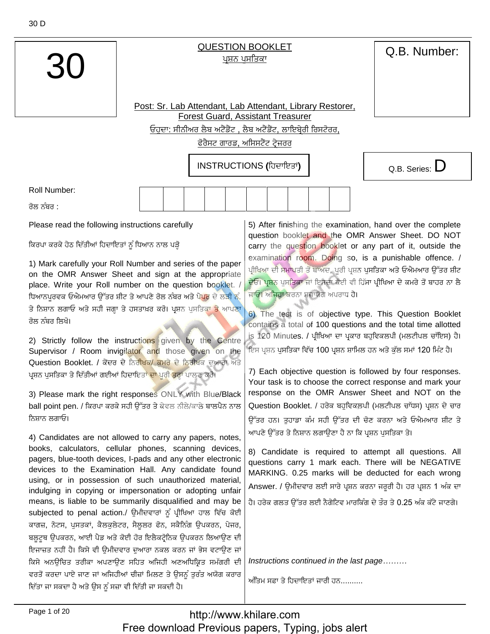

## **QUESTION BOOKLET** ਪਸ਼ਨ ਪਸਤਿਕਾ

Q.B. Number:

Post: Sr. Lab Attendant, Lab Attendant, Library Restorer, **Forest Guard, Assistant Treasurer** ਓਹਦਾ: ਸੀਨੀਅਰ ਲੈਬ ਅਟੈਂਡੈਂਟ , ਲੈਬ ਅਟੈਂਡੈਂਟ, ਲਾਇਬੇਰੀ ਰਿਸਟੋਰਰ,

ਫੋਰੈਸਟ ਗਾਰਡ, ਅਸਿਸਟੈਂਟ ਟੇਜਰਰ

INSTRUCTIONS (ਹਿਦਾਇਤਾਂ)

Q.B. Series:  $D$ 

Roll Number:

ਰੋਲ ਨੰਬਰ <sup>-</sup>

Please read the following instructions carefully

ਕਿਰਪਾ ਕਰਕੇ ਹੇਠ ਦਿੱਤੀਆਂ ਹਿਦਾਇਤਾਂ ਨੂੰ ਧਿਆਨ ਨਾਲ ਪੜ੍ਹੋ

1) Mark carefully your Roll Number and series of the paper on the OMR Answer Sheet and sign at the appropriate place. Write your Roll number on the question booklet. / ਧਿਆਨਪੁਰਵਕ ਓਐਮਆਰ ਉੱਤਰ ਸ਼ੀਟ ਤੇ ਆਪਣੇ ਰੋਲ ਨੰਬਰ ਅਤੇ ਪੇ<mark>ਪਰ</mark> ਦੇ ਲੜੀ ਨੂੰ. ਤੇ ਨਿਸ਼ਾਨ ਲਗਾਓ ਅਤੇ ਸਹੀ ਜਗਾ ਤੇ ਹਸਤਾਖ਼ਰ ਕਰੋ। ਪ੍ਰਸ਼ਨ ਪਸਤਿਕ<mark>ਾ ਤੇ</mark> ਆਪਣਾ ਰੋਲ ਨੰਬਰ ਲਿਖੋ।

2) Strictly follow the instructions given by the Centre Supervisor / Room invigilator and those given on the Question Booklet. / ਕੇਂਦਰ ਦੇ ਨਿਰੀਖਕ/ ਕਮਰੇ ਦੇ ਨਿਰੀਖਕ ਦੁਆਰਾ ਅਤੇ ਪਸ਼ਨ ਪਸਤਿਕਾ ਤੇ ਦਿੱਤੀਆਂ ਗਈਆਂ ਹਿਦਾਇਤਾ<mark>ਂ ਦਾ</mark> ਪੂਰੀ <mark>ਤ</mark>ਰਾਂ ਪਾਲਣ ਕਰੋ।

3) Please mark the right responses ONLY with Blue/Black ball point pen. / ਕਿਰਪਾ ਕਰਕੇ ਸਹੀ ਉੱਤਰ ਤੇ ਕੇਵਲ ਨੀਲੇ/ਕਾਲੇ ਬਾਲਪੈਨ ਨਾਲ ਨਿਸ਼ਾਨ ਲਗਾਓ।

4) Candidates are not allowed to carry any papers, notes, books, calculators, cellular phones, scanning devices, pagers, blue-tooth devices, I-pads and any other electronic devices to the Examination Hall. Any candidate found using, or in possession of such unauthorized material, indulging in copying or impersonation or adopting unfair means, is liable to be summarily disqualified and may be subjected to penal action./ ਉਮੀਦਵਾਰਾਂ ਨੂੰ ਪ੍ਰੀਖਿਆ ਹਾਲ ਵਿੱਚ ਕੋਈ ਕਾਗਜ਼, ਨੋਟਸ, ਪੁਸਤਕਾਂ, ਕੈਲਕੁਲੇਟਰ, ਸੈਲੂਲਰ ਫੋਨ, ਸਕੈਨਿੰਗ ਉਪਕਰਨ, ਪੇਜਰ, ਬਲੁਟੁਥ ਉਪਕਰਨ, ਆਈ ਪੈਡ ਅਤੇ ਕੋਈ ਹੋਰ ਇਲੈਕਟ੍ਰੋਨਿਕ ਉਪਕਰਨ ਲਿਆਉਣ ਦੀ ਇਜਾਜ਼ਤ ਨਹੀਂ ਹੈ। ਕਿਸੇ ਵੀ ਉਮੀਦਵਾਰ ਦੁਆਰਾ ਨਕਲ ਕਰਨ ਜਾਂ ਭੇਸ ਵਟਾਉਣ ਜਾਂ ਕਿਸੇ ਅਨਊਚਿਤ ਤਰੀਕਾ ਅਪਣਾਉਣ ਸਹਿਤ ਅਜਿਹੀ ਅਣਅਧਿਕ੍ਰਿਤ ਸਮੱਗਰੀ ਦੀ ਵਰਤੋਂ ਕਰਦਾ ਪਾਏ ਜਾਣ ਜਾਂ ਅਜਿਹੀਆਂ ਚੀਜ਼ਾਂ ਮਿਲਣ ਤੇ ਉਸਨੂੰ ਤੁਰੰਤ ਅਯੋਗ ਕਰਾਰ ਦਿੱਤਾ ਜਾ ਸਕਦਾ ਹੈ ਅਤੇ ਉਸ ਨੂੰ ਸਜ਼ਾ ਵੀ ਦਿੱਤੀ ਜਾ ਸਕਦੀ ਹੈ।

5) After finishing the examination, hand over the complete question booklet and the OMR Answer Sheet. DO NOT carry the question booklet or any part of it, outside the examination room. Doing so, is a punishable offence. / ਪੀਖਿਆ ਦੀ ਸਮਾਪਤੀ ਤੋਂ ਬਾਅਦ, ਪਰੀ ਪਸ਼ਨ ਪਸਤਿਕਾ ਅਤੇ ਓਐਮਆਰ ਉੱਤਰ ਸ਼ੀਟ ਦੇਓ। ਪ੍ਰਸ਼ਨ ਪਸਤਿਕਾ ਜਾਂ ਇਸਦਾ ਕੋਈ ਵੀ ਹਿੱਸਾ ਪੀਖਿਆ ਦੇ ਕਮਰੇ ਤੋਂ ਬਾਹਰ ਨਾ ਲੈ ਜਾਓ। ਅ<mark>ਜਿਹਾ</mark> ਕਰਨਾ ਸਜ਼ਾਯੋਗ ਅਪਰਾਧ ਹੈ।

6) The test is of objective type. This Question Booklet contains a total of 100 questions and the total time allotted is 120 Minutes. / ਪੀਖਿਆ ਦਾ ਪਕਾਰ ਬਹਵਿਕਲਪੀ (ਮਲਟੀਪਲ ਚਾੱਇਸ) ਹੈ। ਇਸ ਪ੍ਰਸ਼ਨ ਪੁਸਤਿਕਾ ਵਿੱਚ 100 ਪ੍ਰਸ਼ਨ ਸ਼ਾਮਿਲ ਹਨ ਅਤੇ ਕੁੱਲ ਸਮਾਂ 120 ਮਿੰਟ ਹੈ।

7) Each objective question is followed by four responses. Your task is to choose the correct response and mark your response on the OMR Answer Sheet and NOT on the Question Booklet. / ਹਰੇਕ ਬਹੁਵਿਕਲਪੀ (ਮਲਟੀਪਲ ਚਾੱਧਸ) ਪ੍ਰਸ਼ਨ ਦੇ ਚਾਰ

ਉੱਤਰ ਹਨ। ਤੁਹਾਡਾ ਕੰਮ ਸਹੀ ਉੱਤਰ ਦੀ ਚੋਣ ਕਰਨਾ ਅਤੇ ਓਐਮਆਰ ਸ਼ੀਟ ਤੇ ਆਪਣੇ ਉੱਤਰ ਤੇ ਨਿਸ਼ਾਨ ਲਗਾਉਣਾ ਹੈ ਨਾ ਕਿ ਪੁਸ਼ਨ ਪਸਤਿਕਾ ਤੇ।

8) Candidate is required to attempt all questions. All questions carry 1 mark each. There will be NEGATIVE MARKING. 0.25 marks will be deducted for each wrong Answer. / ਉਮੀਦਵਾਰ ਲਈ ਸਾਰੇ ਪ੍ਰਸ਼ਨ ਕਰਨਾ ਜਰੂਰੀ ਹੈ। ਹਰ ਪ੍ਰਸ਼ਨ 1 ਅੰਕ ਦਾ ਹੈ। ਹਰੇਕ ਗਲਤ ਉੱਤਰ ਲਈ ਨੈਗੇਟਿਵ ਮਾਰਕਿੰਗ ਦੇ ਤੌਰ ਤੇ 0.25 ਅੰਕ ਕੱਟੇ ਜਾਣਗੇ।

Instructions continued in the last page........

ਅੰਤਿਮ ਸਫ਼ਾ ਤੇ ਹਿਦਾਇਤਾਂ ਜਾਰੀ ਹਨ..........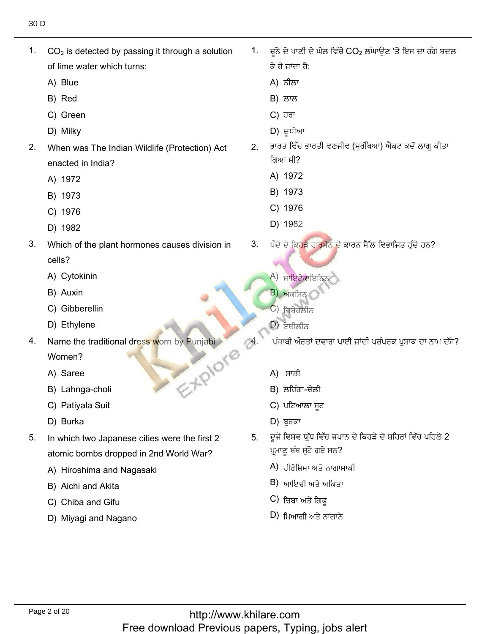1. CO

- 2 is detected by passing it through a solution  $CO<sub>2</sub>$  is detected by passing it through a solution 1. of lime water<br>A) Blue
	-
	- A) Blue<br>B) Red B) Red
	- B) Red<br>C) Green<br>D) Milkv
	- D) Milky
- $2.$ When was The Indian Wildlife (Protection) Act enacted in Inc<br>A) 1972
	- A) 1972<br>B) 1973
	- B) 1973<br>C) 1976
	- C) 1976<br>D) 1982
	- D) 1982
- Which of the plant hormones causes division in 3. cells? cells?<br>A) Cytokinin<br>B) Auxin
	-
	- B) Auxin
	- B) Auxin<br>C) Gibberellin<br>D) Ethvlene
	- D) Ethylene
- E-XPIOre 4. Name the traditional dress worn by Punjabi

Women? Women?<br>A) Saree

- 
- A) Saree<br>B) Lahnga-choli<br>C) Pativala Suit
- C) Patiyala Su<br>D) Burka نٕذيْ 5. In which two Japanese cities were the first 2
	-
- $5<sub>1</sub>$ In which two Japanese cities were the first 2 atomic bombs dropped in 2nd Wo<br>A) Hiroshima and Nagasaki
	- A) Hiroshima and l<br>B) Aichi and Akita
	- B) Aichi and Akita<br>C) Chiba and Gifu
	- C) Chiba and Gifu
	- D) Miyagi and Nagano
- ِ سَمِيتٍ مِنْ يَسْسُلُ 2CO مِنْ يَبْسُلُ 2CO مِنْ يَا بِيَا بِيَا بِيَا بِيَا بِيَا بِيَا بِيَا بِيَا بِيَا ب<br>1. ਚਨੇ ਦੇ ਪਾਣੀ ਦੇ ਘੋਲ ਵਿੱਚੋਂ CO ਲੰਘਾੳਣ 'ਤੇ ਇਸ ਦਾ ਰੰਗ ਬਦਲ ਕੇ ਹੋ ਜਾਂਦਾ ਹੈ:<br>A) ਨੀਲਾ
	- A) ਨੀਲਾ ਨੀਲਾ<br>ਲਾਲ
	-
	- B) ਲਾਲ<br>C) ਹਰਾ C) ਹਰਾ
	- D) ਦੁਧੀਆ
- D) ਦੂਧੀਆ<br>2 ਭਾਰਤ ਵਿੱਚ ਭਾਰਤੀ ਵਣਜੀਵ (ਸਰੱਖਿਆ) ਐਕਟ ਕਦੋਂ ਲਾਗ ਬ ਗਿਆ ਸੀ? ਗਿਆ ਸੀ?<br>A) 1972<br>B) 1973
	-
	- B) 1973<br>C) 1976
	- C) 1976<br>D) 1982
- $\overline{D}$ ) 1982

ਪੌਦੇ ਦੇ ਕਿਹੜੇ ਹਾਰਮੈਨ ਦੇ ਕਾਰਨ ਸੈੱਲ ਵਿਭਾਜਿਤ ਹੁੰਦੇ ਹਨ? 3.

K)<br>A) ਸਾਇਟੋਕਾਇ<br>B) ਔਕਸ਼ਿਨ

ككٓبْذٙغبُْ

- $\begin{pmatrix} B \end{pmatrix}$  ਅੰਕਸਿਨ $\begin{pmatrix} C \end{pmatrix}$  ਜ਼ਿਬੇਰੇਲੀਨ
- C) ਜਿਬੇਰਲੀਨ<br>D) <del>ਦੇਸ਼ੀਕੀਨ</del>
- $\ket{D}$ ਏਥੀਲੀਨ
- ਪੰਜਾਬੀ ਔਰਤਾਂ ਦਵਾਰਾ ਪਾਈ ਜਾਂਦੀ ਪਰੰਪਰਕ ਪੁਸ਼ਾਕ ਦਾ ਨਾਮ ਦੱਸੋ?
- A) ਸਾੜੀ
- B) ਲਹਿੰਗਾ-ਚੋਲੀ
- C) ਪਟਿਆਲਾ ਸਟ
- 
- D) ਬੁਰਕਾ<br>5. ਦੂਜੇ ਵਿਸ਼ਵ ਯੱਧ ਵਿੱਚ ਜਪਾਨ ਦੇ ਕਿਹੜੇ ਦੋ ਸ਼ਹਿਰਾਂ ਵਿੱਚ ਪਹਿਲੇ 2 ਪ੍ਰਮਾਣੂ ਬੰਬ ਸੁੱਟੇ ਗਏ ਸਨ?<br>A) ਤੀਕੋਸਿਪਾ ਅਤੇ ਨਾਗਾਸਾਕੀ
	- A) ਹੀਰੋਸ਼ਿਮਾ ਅਤੇ ਨਾਗਾਸ<br>B) ਆਇਜ਼ੀ ਅਤੇ ਅਕਿਤਾ
	- B) ਆਇਚੀ ਅਤੇ ਅ<br>C) ਜ਼ਿਸ਼ਾ ਅਤੇ ਗਿਟ
	- C) ਚਿਬਾ ਅਤੇ ਗਿਫੂ<br>D) ਖਿਆਰੀ ਅਤੇ ਨਾਗਾਨੋ
	-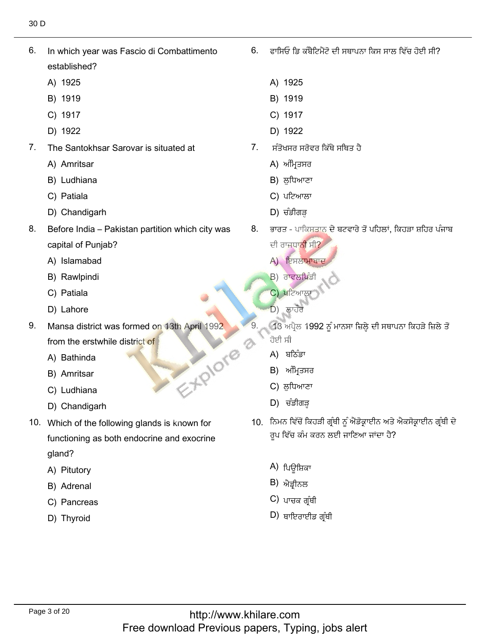In which year was Fascio di Combattimento 6. established?<br>A) 1925

6. In which year was Fascio di Combattimento

- A) 1925<br>B) 1919
- 
- B) 1919<br>C) 1917
- C) 1917<br>D) 1922 D) 1922
- A) Amritsar  $\hbox{D)}$  1922<br>
7. The Santokhsar Sarovar is situated at  $\hbox{A)}$  ਮੰਸੇਤ੍ਰਿਤ ਸਰੇਵਰ ਕਿੱਥੇ ਸਥਿਤ ਹੈ<br>
A) Amritsar A) ਅੰਮ੍ਰਿਤਸਰ<br>
B) Ludhiana B) ਲੁਧਿਆਣਾ<br>
C) Patiala C) ਪਟਿਆਲਾ<br>
D) Chandigarh D) ਚੰਡੀਗੜ੍ਹ
	- A) Amritsar
	- A) Amritsar<br>B) Ludhiana<br>C) Patiala
	- C) Patiala
	- D) Chandigarh
- 8. Before India - Pakistan partition which city was capital of Punjab?<br>A) Islamabad
	- A) Islamabad<br>B) Rawlpindi
	- B) Rawlpindi<br>C) Patiala
	- C) Patiala
- C) Patiala<br>D) Lahore
- 9. Mansa district was formed on 13th April 1992 from the erstwhile<br>A) Bathinda EXPIONE
	- A) Bathinda<br>B) Amritsar
	- B) Amritsar
	- B) Amritsar<br>C) Ludhiana
- C) Ludhiana<br>
10. Dio Chandigarh ann an t-San Ann an t-San Aonaichte<br>
10. Which of the formula glands is known for the formula glands is known for the formula glands is known for<br>
10. Which of the following glands is known
- 10. Which of the following glands is known for functioning as both endocrine and exocrine gland? gland?<br>A) Pitutory<br>B) Adrenal
	-
	- B) Adrenal
	- B) Adrenal<br>C) Pancreas<br>D) Thvroid
	-

ਫ਼ਾਸਿਓ ਡਿ ਕੰਬੈਟਿਮੈਂਟੋ ਦੀ ਸਥਾਪਨਾ ਕਿਸ ਸਾਲ ਵਿੱਚ ਹੋਈ ਸੀ?  $6<sub>1</sub>$ 

ُّهُّ مِّنْ يَسْتَخِذُ بِهِ مِنْ يَسْتَخِذُ بِهِ مِنْ يَسْتَخِذُ بِهِ مَنْ يَسْتَخِذُ بِهِ مَنْ يَسْتَخِذُ بِهِ

- <sup>1925</sup> B) <sup>1919</sup>
- B) 1919<br>C) 1917
- C) 1917<br>D) 1922
- 
- -
	-
	-
	-
- D) ਚੰਡੀਗੜ੍ਹ<br>8. ਭਾਰਤ ਪਾਕਿਸਤਾਨ ਦੇ ਬਟਵਾਰੇ ਤੋਂ ਪਹਿਲਾਂ, ਕਿਹੜਾ ਸ਼ਹਿਰ ਪੰਜਾਬ<br>ਦੀ ਰਾਜਧਾ<mark>ਨੀ</mark> ਸੀ? ਦੀ ਰਾ<mark>ਜਧਾਨੀ</mark> ਸੀ?
	- A) ਇਸਲਾਮਾਬਾਦ
	- $B$ ) ਰਾਵਲਪਿੰਡੀ
	- C) ਪਟਿਆਲ
	- $\overrightarrow{D}$ ) ਲਾਹੌਰ
	- 13 ਅਪ੍ਰੈਲ 1992 ਨੂੰ ਮਾਨਸਾ ਜ਼ਿਲ੍ਹੇ ਦੀ ਸਥਾਪਨਾ ਕਿਹੜੇ ਜ਼ਿਲੇ ਤੋਂ ਹੋਈ ਸੀ ਹੋਈ ਸੀ<br>A) ਬਠਿੰਡਾ
		-
		- A) ਬਠਿੰਡਾ<br>B) ਅੰਮਿਤਸਰ
		- C) ਲਧਿਆਣਾ B) ਅੰਮ੍ਰਿਤਸਰ<br>C) ਲੁਧਿਆਣਾ<br>D) ਚੰਡੀਗੜ
		-
- لـ) ਚਡੀਗੜ੍ਹ<br>10. ਨਿਮਨ ਵਿੱਚੋਂ ਕਿਹੜੀ ਗ੍ਰੰਥੀ ਨੂੰ ਐਂਡੋਕ੍ਰਾਈਨ ਅਤੇ ਐਕਸੋਕ੍ਰਾਈਨ ਗ੍ਰੰਥੀ ਦੇ ਰੂਪ ਵਿੱਚ ਕੰਮ ਕਰਨ ਲਈ ਜਾਣਿਆ ਜਾਂਦਾ ਹੈ?
	- A) ਪਿਊਸ਼ਿਕਾ<br>B) ਐਤੀਨਲ
	- B) ਐਡ੍ਰੀਨਲ<br>C) ਮਾਜ਼ਕ ਗੰਸੀ
	- C) ਪਾਚਕ ਗ੍ਰੰਥੀ<br>D) ਸ਼ਾਇਰਾਈਤ ਗੰਸੀ
	-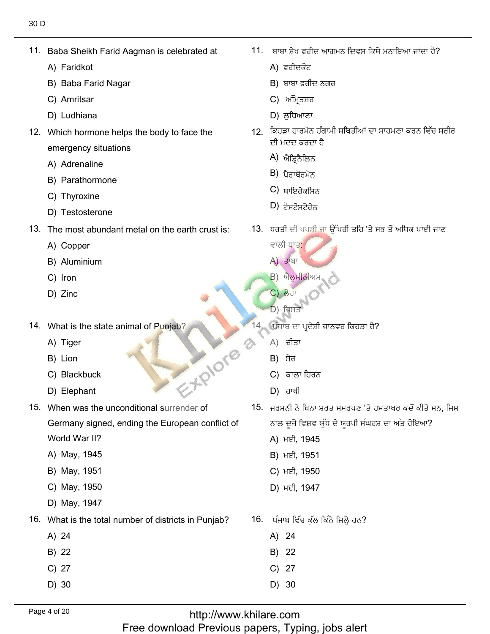Baba Sheikh<br>A) Faridkot

11. Baba Sheikh Farid Aagman is celebrated at

- A) Faridkot
- A) Faridkot<br>B) Baba Farid Nagar<br>C) Amritsar
- C) Amritsar
- D) Ludhiana ًٕٓؾاقْ 12. Which hormone helps the body to face the
- 12. Which hormone helps the body to face the emergency situatior<br>A) Adrenaline
	- A) Adrenaline
	- A) Adrenaline<br>B) Parathormone<br>C) Thvroxine
	- C) Thyroxine
- C) Thyroxine<br>D) Testosterone
- The most abund<br>A) Copper
	- A) Copper
	- A) Copper<br>B) Aluminium<br>C) Iron
	- C) Iron<br>D) Zinc
	-
- What is tl<br>A) Tiger
	- A) Tiger<br>B) Lion
	- B) Lion
	- B) Lion<br>C) Blackbuck<br>D) Elephant 15. Blackbuck<br>25. Blephant<br>25. When we unconditional surrender of the unconditions of the unconditions of the unconditions of the unconditions of the unconditions of the unconditions of the unconditions of the unconditions
	-
- 15. When was the unconditional surrender of Germany signed, ending the European conflict of
	- World War II?<br>A) Mav. 1945
	- A) May, 1945<br>B) Mav. 1951 B) May, 1951<br>C) Mav. 1950
	- C) May, 1950<br>D) Mav. 1947
	- D) May, 1947
- What is the<br>A) 24
	- A) 24<br>B) 22
	- B) 22<br>C) 27
	- C) 27<br>D) 30
	-

11. ਬਾਬਾ ਸੇਖ ਫਰੀਦ ਆਗਮਨ ਦਿਵਸ ਕਿਥੇ ਮਨਾਇਆ ਜਾਂਦਾ ਹੈ?

 $\mathcal{C}^{\mathcal{C}}_{\mathcal{A}}$ 

- 
- ੜਾਬਾ ਫਰੀ ਬਾਬਾ ਸ਼ੇਖ ਫਰੀਦ ਆਗਮ<br>A) ਫਰੀਦਕੋਟ<br>B) ਬਾਬਾ ਫਰੀਦ ਨਗਰ<br>C) ਅੰਮਿਤਸਰ
- C) ਅੰਮ੍ਰਿਤਸਰ
- 
- D) ਲੁਧਿਆਣਾ<br>12. ਕਿਹੜਾ ਹਾਰਮੋਨ ਹੰਗਾਮੀ ਸਥਿਤੀਆਂ ਦਾ ਸਾਹਮਣਾ ਕਰਨ ਵਿੱਚ ਸਰੀਰ ਦੀ ਮਦਦ ਕਰਦ<mark>ਾ</mark><br>A) ਐਤਿਨੈਲਿਨ ਬਾਬਾ ਫਗਦ<br>- ਅੰਮ੍ਰਿਤਸਰ<br>ਲੁਧਿਆਣਾ<br>ੜਾ ਹਾਰਮੋਨ ਹੱ<br>ਜਦਦ ਕਰਦਾ ਹਿਲ<br>ਪੈਰਾਥੋਰਮੋਨ<br>ਪੈਰਾਥੋਰਮੋਨ<br>ਪੈਰਾਥੋਰਮੋਨ<br>ਟੈਸਟੋਸਟੇਰੋਨ<br>ਨੈਸਟੋਸਟੇਰੋਨ<br>ਹੈ ਦੀ ਪਪੜੀ ਹੋ
	- A) ਐਡ੍ਰਿਨੈਲਿਨ<br>B) ਹੈਰਾਸੋਰਪੋਨ
	- B) ਪੈਰਾਥੋਰਮੋਨ<br>C) ਸਾਇਰੋਕਥਿਨ
	- C) ਥਾਇਰੋਕਸਿਨ<br>D) <del>ਟੈਬਟੋਬਟੇਰੋਨ</del>
	-
- يْرٍ عُبِيرٍ الْبَارِينِينِينِي عَلاجٍ الْكَلِّفْةِ<br>13. ਧਰਤੀ ਦੀ ਪਪੜ੍ਹੀ ਜਾਂ ਉੱਪਰੀ ਤਹਿ 'ਤੇ ਸਭ ਤੋਂ ਅਧਿਕ ਪਾਈ ਜਾਣ
	- ਵਾਲੀ ਧਾਤ:<br>A) ਤਾਂਬਾ
	-
	- A) ਤਾਂਬਾ<br>B) ਐਲੂਮੀਨੀਅਮ<br>C) ਲੋਹਾ
- C) ਲੋਹਾ  $\begin{pmatrix} 1 & 0 \\ 0 & 0 \end{pmatrix}$  (d) 14.43
	-
	- 'ਪੰਜਾਬ ਦਾ ਪ੍ਰਦੇਸ਼ੀ<br>A) ਚੀਤਾ
		-
		- A) ਚੀਤਾ<br>B) ਸ਼ੇਰ  $B$ ੇ ਸ਼ੇਰ
		- B) ਸ਼ੇਰ<br>C) ਕਾਲਾ ਹਿਰਨ<br>D) ਹਾਥੀ
		- $D$ ) ਹਾਥੀ
- .<br>ਮਾਜਰਮਨੀ ਨੇ ਬਿਨਾ ਸ਼ਰਤ ਸਮਰਪਣ 'ਤੇ ਹਸਤਾਖਰ ਕਦੋਂ ਕੀਤੇ ਸ " А) ਚੀਤਾ<br>"А) ਚੀਤਾ<br>"В) ਸ਼ੇਰ<br>"В) ਸ਼ੇਰ<br>"В) ਹਾਥੀ<br>15. ਜਰਮਨੀ ਨੇ ਬਿਨਾ ਸ਼ਰਤ ਸਮਰਪਣ 'ਤੇ<br>"ਨਾਲ ਦੂਜੇ ਵਿਸ਼ਵ ਯੁੱਧ ਦੇ ਯੂਰਪੀ ਸੰਘ<br>"A) ਮਈ, 1945<br>"В) ਮਈ, 1951<br>"С) ਮਈ, 1950<br>"D) ਮਈ, 1950<br>"D) ਮਈ, 1950
	- ਨਾਲ ਦੂਜੇ ਵਿਸ਼ਵ ਯ<br>A) ਮਈ. 1945
		- A) ਮਈ, 1945<br>B) ਮਈ. 1951
		-
		- B) ਮਈ, 1951<br>C) ਮਈ. 1950
		- C) ਮਈ, 1950<br>D) ਮਈ. 1947
	- i. ਪੰਜਾਬ ਵਿੱਚ ਕੁੱਲ ਕਿੰਟੇ<br>A) 24
		- A) 24<br>B) 22
		- B) 22<br>C) 27
		- $C)$  27
		- 27<br>30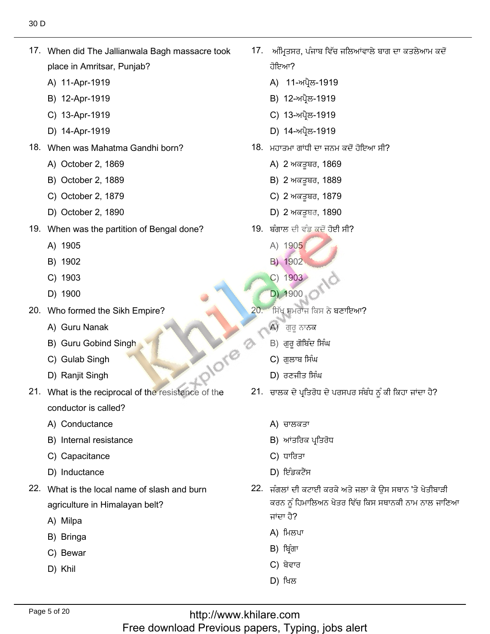17. When did The Jallianwala Bagh massacre took place in Amritsar, Puı<br>A) 11-Apr-1919

17. When did The Jallianwala Bagh massacre took

- A) 11-Apr-1919<br>B) 12-Apr-1919
- B) 12-Apr-1919
- B) 12-Apr-1919<br>C) 13-Apr-1919<br>D) 14-Apr-1919
- 
- When was Mahatma Gar<br>A) October 2, 1869
	- A) October 2, 1869<br>B) October 2. 1889
	- B) October 2, 1889<br>C) October 2. 1879
	- C) October 2, 1879<br>D) October 2. 1890
	- D) October 2, 1890
- When was the<br>A) 1905
	- A) 1905
	- A) 1905<br>B) 1902<br>C) 1903
	- C) 1903<br>D) 1900
	- D) 1900
- Who formed the Sikh<br>A) Guru Nanak
	- A) Guru Nanak
	- A) Guru Nanak<br>B) Guru Gobind Singh<br>C) Gulab Singh the of resistance the of resistance the of reciprocal the of reciprocal the of reciprocal the of reciprocal the is North 21. Under the of reciprocal the of reciprocal the is what 21. Under the is what 21. Under the is what
	- C) Gulab Singh<br>D) Raniit Singh
	-
- 21. What is the reciprocal of the resistance of the conductor is called?<br>A) Conductance
	- A) Conductance
	- A) Conductance<br>B) Internal resistance<br>C) Capacitance
	- C) Capacitance<br>D) Inductance
	- D) Inductance
- 22. What is the local name of slash and burn agriculture in I<br>A) Milpa
	- A) Milpa
	- A) Milpa<br>B) Bringa<br>C) Bewar
	- C) Bewar<br>D) Khil
	-

17. ਅੰਮ੍ਰਿਤਸ ਹੋਇਆ? ਹੋਇਆ?<br>A) 11-ਅਪ੍ਰੈਲ-1919<br>B) 12-ਅਪ੍ਰੈਲ-1919

فِي أَفْضِ إِنَّ أَنْ يَسْتَخْرُ إِنَّ أَنْ يَسْتَخْرُجُ الْمَسْتَخْرِجِينَ بِيَانٍ مِنْ الْمُسْتَخْرِجِينَ ال

- 
- 
- B) 12-ਅਪ੍ਰੈਲ-1919<br>C) 13-ਅਪ੍ਰੈਲ-1919
- -لئᴆً٘- 18. When was Mahatma Gandhi born? D) 14-ਅਪ੍ਰੈਲ-1919
	- <sup>}</sup>. ਮਹਾਤਮਾ ਗਾਂਧੀ ਦਾ ਜਨਮ
		- ਮਹਾਤਮਾ ਗਾਂਧੀ ਦਾ ਜਨਮ ਹ<br>A) 2 ਅਕਤੂਬਰ, 1869<br>B) 2 ਅਕਤਬਰ. 1889
		- B) 2 ਅਕਤੂਬਰ, 1889<br>C) 2 ਅਕਤੂਬਰ. 1879
		-
		- C) 2 ਅਕਤੂਬਰ, 1879<br>D) 2 ਅਕਤੂਬਰ, 1890 D) 2 ਅਕਤੂਬਰ, 1890
	- ). ਬੰਗਾਲ ਦੀ ਵੰਡ ਕੁਦੇ<br>A) 1905
		- A) 1905 A) 1905<br>B) 1902
		-
		- B) 1902<br>C) 1903<br>D) 1900
		- D) 1900
	- $20.7$ ਸਿੱਖ ਸਮਰਾਜ ਕਿਸ ਨੇ ਬਣਾਇਆ?
		- A) ਗੁਰੂ ਨਾਨਕ
		-
		-
		- D) ਰਣਜੀਤ ਸਿੰਘ
	- 21. ਚਾਲਕ ਦੇ ਪ੍ਰਤਿਰੋਧ ਦੇ ਪਰਸਪਰ ਸੰਬੰਧ ਨੂੰ ਕੀ ਕਿਹਾ ਜਾਂਦਾ ਹੈ?
		- A) ਚਾਲਕਤਾ
		- A) ਚਾਲਕਤਾ<br>B) ਆਂਤਰਿਕ ਪ੍ਰਤਿ<br>C) ਧਾਰਿਤਾ
		- $C$ ) ਧਾਰਿਤਾ
		- D) ਇੰਡਕਟੈਂਸ
	- ٹاً (D) ਇੰਡਕਟੈਂਸ<br>22. ਜੰਗਲਾਂ ਦੀ ਕਟਾਈ ਕਰਕੇ ਅਤੇ ਜਲਾ ਕੇ ਉਸ ਸਥਾਨ 'ਤੇ ਖੇਤੀਬਾੜੀ<br>ਕਰਨ ਨੰ ਹਿਮਾਲਿਅਨ ਖੇਤਰ ਵਿੱਚ ਕਿਸ ਸਥਾਨਕੀ ਨਾਮ ਨਾਲ ਜਾਣਿਆ ਕਰਨ ਨੂੰ ਹਿਮਾਲਿਅਨ ਖੇਤਰ ਵਿੱਚ ਕਿਸ ਸਥਾਨਕੀ ਨਾਮ ਨਾਲ ਜਾਣਿਆ  $\vec{H}$  एसी ਜਾਂਦਾ ਹੈ?<br>A) ਮਿਲਪਾ<br>B) ਬਿੰਗਾ
		-
		- B) ਬ੍ਰਿੰਗਾ<br>C) ਬੇਵਾਰ
		- C) ਬੇਵਾਰ<br>D) ਖਿਲ
		-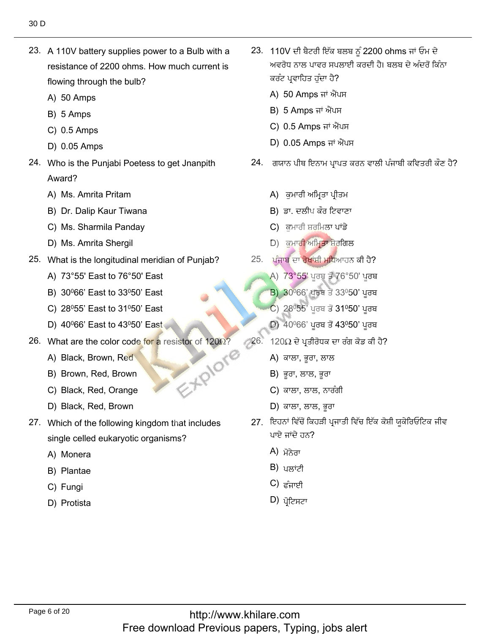23. A 110V battery supplies power to a Bulb with a resistance of 2200 ohms. How much current is flowing through th<br>A) 50 Amps

23. A 110V battery supplies power to a Bulb with a

- A) 50 Amps<br>B) 5 Amps
- B) 5 Amps
- B) 5 Amps<br>C) 0.5 Amps
- C) 0.5 Amps<br>D) 0.05 Amps
- 24. Who is the Punjabi Poetess to get Jnanpith Award? Award?<br>A) Ms. Amrita Pritam
	-
	- A) Ms. Amrita Pritam<br>B) Dr. Dalip Kaur Tiwana<br>C) Ms. Sharmila Pandav
	- C) Ms. Sharmila Panday<br>D) Ms. Amrita Shergil
	- D) Ms. Amrita Shergil
- What is the longitudinal meridian of<br>A) 73°55' East to 76°50' East
	- A) 73°55' East to 76°50' East<br>B) 30º66' East to 33º50' East
	- B) 30º66' East to 33º50' East<br>C) 28º55' East to 31º50' East
	- C) 28º55' East to 31º50' East<br>D) 40º66' East to 43º50' East
	- D) 40<sup>0</sup>66' East to 43<sup>0</sup>50' East
- What are the color code for<br>A) Black, Brown, Red
	- A) Black, Brown, Red, Sales<br>B) Brown, Red, Brown
	- B) Brown, Red, Brown<br>C) Black, Red, Orange
	- C) Black, Red, Orange<br>D) Black. Red. Brown
	- D) Black, Red, Brown
- 27. Which of the following kingdom that includes single celled euk<br>A) Monera
	- A) Monera
	- A) Monera<br>B) Plantae<br>C) Fungi
	- C) Fungi
	- D) Protista

23. 110V ਦੀ ਬੈਟਰੀ ਇੱਕ ਬਲਬ ਨੂੰ 2200 ohms ਜਾਂ ਓਮ ਦੇ .<br>ਅਵਰੋਧ ਨਾਲ ਪਾਵਰ ਸਪਣ

ٗفوخإْط ohmsٖ٫كنًنذ٬بٔيغ٘نٔف V110 23.

- ਕਰੰਟ ਪ੍ਰਵਾਹਿਤ ਹੁੰਦਾ ਹੈ?<br>A) 50 Amps ਜਾਂ ਐਂਪਸ A) 50 Amps ਜਾਂ ਐਂਪ<br>B) 5 Amps ਜਾਂ ਐਂਪਸ
- 
- B) 5 Amps ਜਾਂ ਐਂਪਸ<br>C) 0.5 Amps ਜਾਂ ਐਂਪਸ
- C) 0.5 Amps ਜਾਂ ਐਂਪਸ<br>D) 0.05 Amps ਜਾਂ ਐਂਪਸ D) 0.05 Amps ਜਾਂ ਐਂਪਸ
- 24. ਗਯਾਨ ਪੀਥ ਇਨਾਮ ਪ੍ਰਾਪਤ ਕਰਨ ਵਾਲੀ ਪੰਜਾਬੀ ਕਵਿਤਰੀ ਕੌਣ ਹੈ?
	- A) ਕਮਾਰੀ ਅਮ੍ਰਿਤਾ ਪ੍ਰੀਤਮ
	- ਭਾ. ਦਲੀਪ ਕੌਰ ਟਿਵਾਣ A) ਕੁਮਾਰੀ ਅਮ੍ਰਿਤਾ ਪ੍ਰੀਤਮ<br>B) ਡਾ. ਦਲੀਪ ਕੌਰ ਟਿਵਾਣਾ<br>C) ਕਮਾਰੀ ਸ਼ਰਮਿਲਾ ਪਾਂਡੇ
	- $C$ ) ਕਮਾਰੀ ਸ਼ਰਮਿਲਾ ਪਾਂਡੇ
- C) ਕੁਮਾਰੀ ਸ਼ਰਮਿਲਾ ਪਾਂਡੇ<br>D) ਕੁਮਾਰ<mark>ੀ ਅਮ੍ਰਿਤਾ ਸ਼ੇ</mark>ਰਗਿਲ
	- ਪੰਜਾਬ ਦਾ ਰੇਖਾਂਸ਼ੀ ਮੁਧਿਆਹਨ ਕੀ ਹੈ?<br>A) 73°55' ਪਰਬ ਤੋਂ 76°50' ਪਰਬ
		- A) 73°55' ਪੂਰਬ ਤੋਂ 76°50' ਪੂਰਬ<br>B) 30º66' ਪਰਬ ਤੋਂ 33º50' ਪਰਬ
		- B) 30<sup>0</sup>66' ਪੂਰਬ ਤੋਂ 33<sup>0</sup>50' ਪੂਰਬ
		- B) 30º66' ਪੂਰਬ ਤੋਂ 33º50' ਪੂਰਬ<br>C) 28º55' ਪੂਰਬ ਤੋਂ 31º50' ਪੂਰਬ<br>D) 40º66' ਪਰਬ ਤੋਂ 43º50' ਪਰਬ
		- D)  $40^{\circ}66'$  ਪੂਰਬ ਤੋਂ  $43^{\circ}50'$  ਪੂਰਬ
- $(26. \ 120 \Omega \frac{1}{2})$  40º66' ਪੂਰਬ ਤੋਂ 4:<br> $(26. \ 120 \Omega \frac{1}{2})$ ਬਾਲਾ, ਭਰਾ, ਲਾਲ
	- A) ਕਾਲਾ, ਭੂਰਾ, ਲਾ≀<br>B) ਭਰਾ. ਲਾਲ. ਭਰਾ
	- B) ਭੂਰਾ, ਲਾਲ, ਭੂਰਾ<br>C) ਕਾਲਾ. ਲਾਲ. ਨਾਰੰਗੀ
	- C) ਕਾਲਾ, ਲਾਲ, ਨਾਰੰ<br>D) ਕਾਲਾ. ਲਾਲ. ਭਰਾ
	-
- D) ਕਾਲਾ, ਲਾਲ, ਭੂਰਾ<br>27. ਇਹਨਾਂ ਵਿੱਚੋਂ ਕਿਹੜੀ ਪ੍ਰਜਾਤੀ ਵਿੱਚ ਇੱਕ ਕੋਸ਼ੀ ਯੁਕੇਰਿਓਟਿਕ ਜੀਵ ਪਾਏ ਜਾਂਦੇ ਹਨ?<br>A) ਪੋ<del>ਨੇ</del>ਗ
	- A) ਮੋਨੇਰਾ<br>B) ਮੁਲਾਂਟੀ
	- B) ਪਲਾਂਟੀ<br>C) <sub>ਟੰ</sub>ਜ਼ਾਈ
	- C) ਫੰਜਾਈ<br>D) ਮੋਟਿਬਟਾ
	-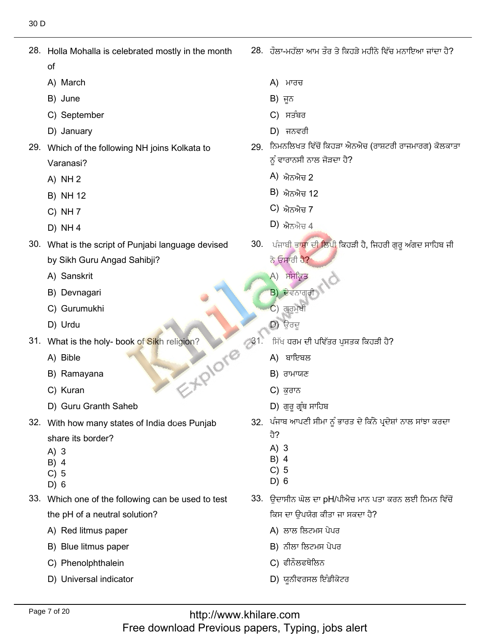28. Holla Mohalla is celebrated mostly in the month

28. Holla Mohalla is celebrated mostly in the month

- of
- of<br>A) March<br>B) June
- B) June
- B) June<br>C) September<br>D) Januarv
- D) January
- 29. Which of the following NH joins Kolkata to Varanasi?<br>A) NH 2
	- $A)$  NH 2
	- A) NH 2<br>B) NH 12<br>C) NH 7
	- C) NH 7<br>D) NH 4
	- $D)$  NH 4
- 30. What is the script of Punjabi language devised by Sikh Guru An<sub>(</sub><br>A) Sanskrit
	- A) Sanskrit
	- A) Sanskrit<br>B) Devnagari<br>C) Gurumukhi
- C) Gurumukh<br>D) Urdu فيتٖ 31. What is the holy- book of Sikh religion?
	-
- What is the ho<br>A) Bible
	- A) Bible
	- A) Bible<br>B) Ramayana<br>C) Kuran
	- C) Kuran
- D) Guru Granth Saheb زٕيٖزᴆ٫ـُِْٓن 32. With how many states of India does Punjab
- 32. With how many states of India does Punjab 32. With how many states of India does Punjab<br>
share its border?<br>
A) 3<br>
B) 4<br>
C) 5<br>
D) 6<br>
B) 6<br>
C) 5
	- A) 3
	- B) 4
	- C) 5
	- D) 6
- 33. Which one of the following can be used to test the pH of a neutral solutio<br>A) Red litmus paper
	- A) Red litmus paper<br>B) Blue litmus paper
	- B) Blue litmus paper<br>C) Phenolphthalein
	-
	- C) Phenolphthalein<br>D) Universal indicator

 $28.$  ਹੌਲਾ-ਮਹੱਲਾ ਆਮ ਤੌਰ ਤੇ ਕਿਹੜੇ ਮਹੀਨੇ ਵਿੱਚ ਮਨਾਇਆ ਜਾਂਦਾ ਹੈ?

?ِ٘

- A) ਮਾਰਚ
- B) ਜੂਨ
- A) ਮਾਰਚ<br>B) ਜੂਨ<br>C) ਸਤੰਬਰ<br>D) ਜਨਵਰੀ
- 
- ٌ D) ਜਨਵਰੀ<br>29. ਨਿਮਨਲਿਖਤ ਵਿੱਚੋਂ ਕਿਹੜਾ ਐਨਐਚ (ਰਾਸ਼ਟਰੀ ਰਾਜ) ਨੂੰ ਵਾਰਾਨਸੀ ਨਾਲ<br>A) ਐਨਐਜ 2
	- A) ਐਨਐਚ 2<br>B) ਐਨਐਚ 12
	- B) ਐਨਐਚ 12<br>C) ਐਨਐਜ 7
	- C) ਐਨਐਚ 7<br>D) ਐਨਐਚ 4
	-
- نُّ فَالَّذِينَ فَالَّذِينَ فَالْبَحِيْنَ بِيَا الْمَجْمَعَةِ<br>30. ਪੰਜਾਬੀ ਭਾਸ਼ਾ ਦੀ ਲਿਪੀ ਕਿਹੜੀ ਹੈ, ਜਿਹਰੀ ਗੁਰੂ ਅੰਗਦ ਸਾਹਿਬ ਜੀ<br>ਨੇ ਓਸਾਰੀ ਹੈ? ਨੇ ਓਸਾਰੀ ਹੈ?<br>A) ਸੰਸਕਿਤ
	- A) ਸੰਸਕ੍ਰਿਤ
	- $B$ ) ਦੇਵਨਾਗਰੀ
	- $C$ ) ਗੁਰਮੁਖੀ
	- $D)$  ਉਰਦੁ

- ੀਸੱਖ ਧਰਮ ਦੀ ਪ<br>A) ਬਾਇਬਲ
	- A) ਬਾਇਬਲ
	- A) ਬਾਇਬਲ<br>B) ਰਾਮਾਯਣ B) ਰਾਮਾਯ<br>C) ਕੁਰਾਨ
	-
	- $\overline{D}$ ) ਗੁਰੁ ਗ੍ਰੰਥ ਸਾਹਿਬ
- . ਪੰਜਾ
	-
	-
	-
	-
- $D)$  6
	- <sup>}</sup>. ਉਦਾਸੀਨ ਘੋਲ ਦਾ pH/ਪੀਐਚ ਮਾਨ ਪਰ ਕਿਸ ਦਾ ਉਪਯੋਗ ਕੀਤਾ ਜਾ ਸਕਦਾ ਹੈ?
		- ਕਿਸ ਦਾ ਉਪਯੋਗ ਕੀਤਾ ਜ<br>A) ਲਾਲ ਲਿਟਮਸ ਪੇਪਰ
		- A) ਲਾਲ ਲਿਟਮਸ<br>B) ਨੀਲਾ ਲਿਟਮਸ<br>C) ਫੀਨੌਲਫਥੇਲਿਨ
		-
		- C) ਫੀਨੌਲਫਥੇਲਿਨ<br>D) ਯਨੀਵਰਸਲ ਇੰਡੀਕੇਟਰ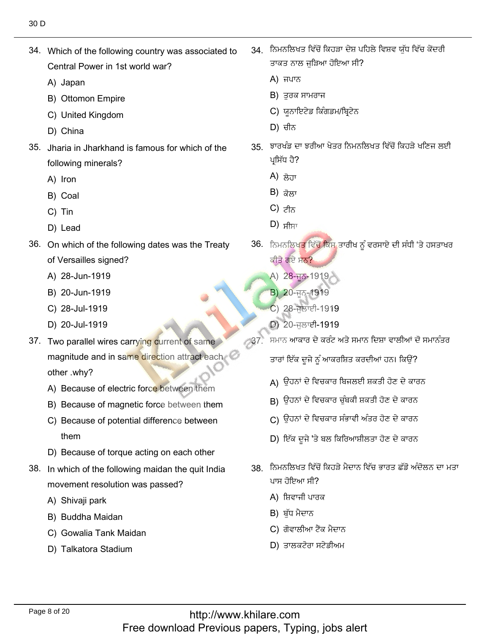34. Which of the following country was associated to Central Power<br>A) Japan

 $\mathcal{A}(\mathcal{A})$  . Which of the following country was associated to the following country was associated to the following country was associated to the following country was associated to the following country was associate

- A) Japan
- A) Japan<br>B) Ottomon Empire<br>C) United Kingdom
- C) United King<br>D) China
- D) China
- 35. Jharia in Jharkhand is famous for which of the following mir<br>A) Iron
	- A) Iron
	- A) Iron<br>B) Coal<br>C) Tin
	- C) Tin
- C) Tin<br>D) Lead
- 36. On which of the following dates was the Treaty of Versailles signed?<br>A) 28-Jun-1919
	- A) 28-Jun-1919<br>B) 20-Jun-1919
	- B) 20-Jun-1919<br>C) 28-Jul-1919
	- C) 28-Jul-1919<br>D) 20-Jul-1919
	- D) 20-Jul-1919
- 37. Two parallel wires carrying current of same magnitude and in same direction attract each other .why?
	- other .why?<br>A) Because of electric force between them
	- A) Because of electric force between them<br>B) Because of magnetic force between them<br>C) Because of potential difference between
	- C) Because of potential difference between
- them<br>D) Because of torque acting on each other
- 38. In which of the following maidan the quit India movement resolutior<br>A) Shivaii park
	- A) Shivaji park
	- A) Shivaji park<br>B) Buddha Maidan
	- B) Buddha Maidan<br>C) Gowalia Tank Maidan<br>D) Talkatora Stadium
	-

34. ਨਿਮਨਲਿਖਤ ਵਿੱਚੋਂ ਕਿਹੜਾ ਦੇਸ਼ ਪਹਿਲੇ ਵਿਸ਼ਵ ਯੱਧ ਵਿੱਚ ਕੇਂਦਰੀ ਤਾਕਤ ਨਾਲ ਜੁੜਿ<br>A) ਜਪਾਨ

ُيفِيَّةُ مِنْ الْمُسْتَخِيَّةُ مِنْ الْمُسْتَخِيَّةُ مِنْ الْمُسْتَخِيَّةُ مِنْ الْمُسْتَخِيَّةِ مِنْ الْمُسْت

- $A$ ) ਜਪਾਨ
- A) ਜਪਾਨ<br>B) ਤੁਰਕ ਸਾਮਰਾਜ
- B) ਤੁਰਕ ਸਾਮਰਾਜ<br>C) ਯੂਨਾਇਟੇਡ ਕਿ<br>D) ਚੀਨ
- $\Box$ ) ਚੀਨ
	- 35. ਝਾਰਖੰਡ ਦਾ ਝਰੀਆ ਖੇਤਰ ਨਿਮਨਲਿਖਤ ਵਿੱਚੋਂ ਕਿਹੜੇ ਖਣਿਜ ਲਈ ਪਸਿੱਧ ਹੈ? ਪ੍ਰਸਿਧ ਹੈ?<br>A) ਲੋਹਾ<br>B) ਕੋਲਾ
		-
		- B) ਕੋਲਾ<br>C) <del>ਟੀਨ</del>
		- C)  $z\rightarrow$
- $D)$  ਸੀਸਾ  $\Box$ ) ਸੀਸਾ
	- 36. ਨਿਮਨਲਿਖਤ ਵਿੱ ਕੀਤੇ ਗਏ ਸਨ?
		- ਕੀਤੇ ਗਏ ਸ<mark>ਨ?</mark><br>A) 28-ਜੂਨ-1919<br>B) 20-ਜਨ-1919
		-
		- <mark>B) 2</mark>0-ਜੂਨ-1919<br>C) 28-ਜਲਾਈ-1919 C) 28-ਜੁਲਾਈ-1919<br>D) 20-ਜੁਲਾਈ-1919
		- $D)$  20-ਜਲਾਈ-1919
- 237. .<br>ਸਮਾਨ ਆਕਾਰ ਦੇ ਕਰੰਟ ਅਤੇ ਸਮਾਨ ਦਿਸ਼ਾ ਵਾਲੀਆਂ ਦੋ ਸਮਾਨੰਤਰ

كم كي توسيح من المناطق بن المناطق:

- (A كيْذٗفؾِٔٙؿذَٔذنٕ٫صيْذصٍٗٓفإْكِت
- д) ਉਹਨਾਂ ਦ ।ਵਚਕਾਰ ।ਬਜਲੲ। ਸ਼ਕਤ। ਹਣ ਦ ਕਾਂ<br>В) ਉਹਨਾਂ ਦੇ ਵਿਚਕਾਰ ਚੁੰਬਕੀ ਸ਼ਕਤੀ ਹੋਣ ਦੇ ਕਾਰਨ
- Β) ਉਹਨਾਂ ਦੇ ਵਿਚ<br>Β) ਉਹਨਾਂ ਦੇ ਵਿਚ كان التي يتغير التي تشكيل بندي.<br>قام التي يتخبر التي تشكيل بندي.<br>قام التي يتخبر التي يتخبر التي يتخبر التي يتخبر التي يتخبر التي يتخبر التي يتخبر
- D) ਇੱਕ ਦੂਜੇ 'ਤੇ ਬਲ ਕਿਰਿਆਸ਼ੀਲਤਾ ਹੋਣ ਦੇ ਕਾਰਨ
- 38 ਨਿਮਨਲਿਖਤ ਵਿੱਚੋਂ ਕਿਹੜੇ ਮੈਦਾਨ ਵਿੱਚ ਭਾਰਤ ਛੱਡੋ ਅੰਦੋਲਨ ਦਾ ਮਤਾ ਪਾਸ ਹੋਇਆ ਸੀ?
	- ਪਾਸ ਹੋਇਆ ਸੀ?<br>A)ੀਸ਼ਵਾਜੀ ਪਾਰ A) ਸ਼ਿਵਾਜੀ ਪਾਰਕ<br>B) ਬੱਧ ਮੈਦਾਨ
	-
	- B) ਬੁੱਧ ਮੈਦਾਨ<br>C) ਗੋਵਾਲੀਆ ਟੈਂਕ ਮੈਦਾਨ<br>D) ਤਾਲਕਟੋਰਾ ਸਟੇਡੀਅਮ
	-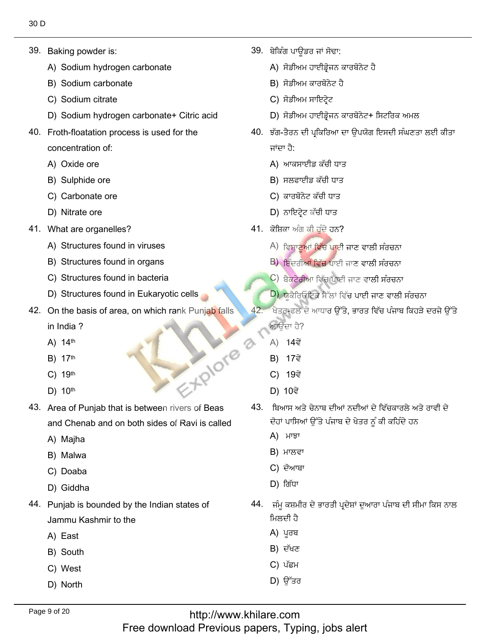39. Baking powder is:

39. Baking powder is:

- Baking powder is:<br>A) Sodium hydrogen carbonate<br>B) Sodium carbonate
- B) Sodium carbon<br>C) Sodium citrate
- C) Sodium citrate
- C) Sodium citrate<br>D) Sodium hydrogen carbonate+ Citric acid
- 40. Froth-floatation process is used for the concentration of:<br>A) Oxide ore
	- A) Oxide ore
	- A) Oxide ore<br>B) Sulphide ore<br>C) Carbonate ore
	- C) Carbonate ore<br>D) Nitrate ore
	- D) Nitrate ore
- 41. What are organelles?
	- What are organelles?<br>A) Structures found in viruses<br>B) Structures found in organs
	- B) Structures found in organs B) Structures found in organs<br>C) Structures found in bacteria
	-
- C) Structures found in bacteria<br>
D) Structures found in Eukaryotic cells
- 42. On the basis of area, on which rank Punjab falls in India ?<br>A) 14<sup>th</sup>
	- A)  $14<sup>th</sup>$
	- A) 14<sup>th</sup><br>B) 17<sup>th</sup>  $^{13.4}$  43. Area of Punjab that is between  $^{13.4}$  and Beas of Beas of Beas of Beas of Beas of Beas of Beas of Beas of Beas of Beas of Beas of Beas of Beas of Beas of Beas of Beas of Beas of Beas of Beas of Beas of Beas
	- B) 17<sup>th</sup><br>C) 19<sup>th</sup> 19<sup>th</sup><br>10<sup>th</sup>
	-
- 43. Area of Punjab that is between rivers of Beas and Chenab ar<br>A) Maiha
	- A) Majha<br>B) Malwa
	- B) Malwa<br>C) Doaba
- C) Doaba ٓز٬قْ 44. Punjab is bounded by the Indian states of
	- D) Giddha
- 44. Punjab is bounded by the Indian states of Jammu Kash<br>A) East
	- A) East
	- A) East<br>B) South<br>C) West
	- C) West<br>D) North
	-

39. ਬੇਕਿੰਗ ਪਾਉਡਰ ਜਾਂ ਸੋਢਾ: ِ٘غٗكٙنيْذكطٙ ᴆؼةِْوئٔؼُٙ

ْيُّةِ إِنَّ مِنْ عَلَيْهِ مِنْ الْمُسْتَخِيرِ مِنْ الْمُسْتَخِيرِ مِنْ الْمُسْتَخِيرَةِ مِنْ الْمُسْتَخِيرَةِ

- ਬੇਕਿੰਗ ਪਾਊਡਰ ਜਾਂ ਸੋਢਾ:<br>A) ਸੋਡੀਅਮ ਹਾਈਡ੍ਰੋਜਨ ਫ<br>B) ਸੋਡੀਅਮ ਕਾਰਬੋਨੇਟ ਹੈ ًوئذيٓغُٓ +غٗكٙنيْذكطٙ ᴆؼةِْوئٔؼُٙ
- B) ਸੋਡੀਅਮ ਕਾਰਬੋਨੇਟ ਹੈ B) ਸੋਡੀਅਮ ਕਾਰਾਂ<br>C) ਸੋਡੀਅਮ ਸਾਇ
- C) ਸੋਡੀਅਮ ਸਾਇ<br>D) ਸੋਡੀਅਮ ਹਾਈ
- D) ਸੋਡੀਅਮ ਹਾਈਡੋਜਨ ਕਾਰਬੋਨੇਟ+ ਸਿਟਰਿਕ ਅਮਲ
- ). ਝੱਗ-ਤੈਰਨ ਜਾਂਦਾ ਹੈ:
	- ਜਾਂਦਾ ਹੈ:<br>A) ਆਕਸਾਈਡ ਕੱਚੀ ਧਾਤ
	- A) ਆਕਸਾਈਡ ਕੱਚੀ ਧਾ<br>B) ਸਲਫਾਈਡ ਕੱਚੀ ਧਾः
	- B) ਸਲਫਾਈਡ ਕੱਚੀ ਧਾ<br>C) ਕਾਰਬੋਨੇਟ ਕੱਚੀ ਧਾः
- C) ਕਾਰਬੋਨੇਟ ਕੱਚੀ ਧਾਤ<br>D) ਨਾਇਟ੍ਰੇਟ ਕੱਚੀ ਧਾਤ
	- - . ਕੋਸ਼ਿਕਾ ਅੰਗ ਕੀ ਹੁੰਦੇ ਹਨ?<br>Åੇ ਵਿਸ਼ਾਣੂਆਂ ਵਿੱਚ ਪਾਈ ਜਾਣ ਵਾਲੀ ਸੰਰਚਨਾ Å) ਵਿਸ਼ਾਣੂਆਂ ਵਿੱਚ ਪਾਈ ਜਾਣ ਵਾਲੀ ਸੰਰਚਨਾ<br>B) ਇੰਦਰੀਆਂ ਵਿੱਚ ਪਾਈ ਹਾਣ ਵਾਲੀ ਸੰਰਚਨਾ
			- B)੍ਰਇੰਦਰੀ<mark>ਆਂ ਵਿੱਚ</mark> ਪਾਈ ਜਾਣ ਵਾਲੀ ਸੰਰਚਨਾ<br>C) ਬੈਕਟੇਰੀਆ ਵਿੱਚ ਪਾਈ ਜਾਣ ਵਾਲੀ ਸੰਰਚਨਾ
			- C) ਬੈਕਟੇਰੀਆ ਵਿੱਚ ਪਾਈ ਜਾਣ ਵਾ<mark>ਲੀ ਸੰਰਚਨਾ</mark><br>D) ਸ਼ੂਕੈਰਿਓਟਿਕ ਬੈੱਲਾਂ ਵਿੱਚ ਪਾਈ ਜਾਣ ਵਾਲੀ ਸੰਰਚਨਾ
			- <mark>D) ਯ</mark>ੂਕੈਰਿਓਟਿਕ ਸੈੱਲਾਂ ਵਿੱਚ ਪਾਈ ਜਾਣ ਵਾਲੀ ਸੰਰਚਨਾ
	- $42.$ ਖੇਤਰ-ਫਲ ਦੇ ਆਧਾਰ ਉੱਤੇ, ਭਾਰਤ ਵਿੱਚ ਪੰਜਾਬ ਕਿਹੜੇ ਦਰਜੇ ਉੱਤੇ ਆਉਂਦਾ ਹੈ?<br>A) 14ਵੇਂ
		- A) 14ਵੇਂ<br>B) 17ਵੇਂ
		- B) 17ਵੇਂ
		- B) 17ਵੇਂ<br>C) 19ਵੇਂ
		- **D**) 10ਵੇਂ
	- 43. ਬਿਆਸ ਅਤੇ ਚੇਨਾਬ ਦੀਆਂ ਨਦੀਆਂ ਦੇ ਵਿੱਚਕਾਰਲੇ ਅਤੇ ਰਾਵੀ ਦੇ ਦੋਹਾਂ ਪਾਸਿਆਂ ਉੱ<mark>ਂ</mark><br>A) ਮਾਝਾ
		-
		- A) ਮਾਝਾ<br>B) ਮਾਲਵਾ
		- B) ਮਾਲਵਾ<br>C) ਦੋਆਬਾ
- $\bf{D}$ ) ldi $\bf{u}$ '
	- ।<br>ਜੰਮ ਕਸ਼ਮ ਜਿਲਦੀ ਹੈ<br>А) ਪੂਰਬ<br>В) ਦੱਖਣ<br>С) ਪੱਛਮ<br>D) ਉੱਤਰ
		-
		-
		- C) ਪੱਛਮ
		-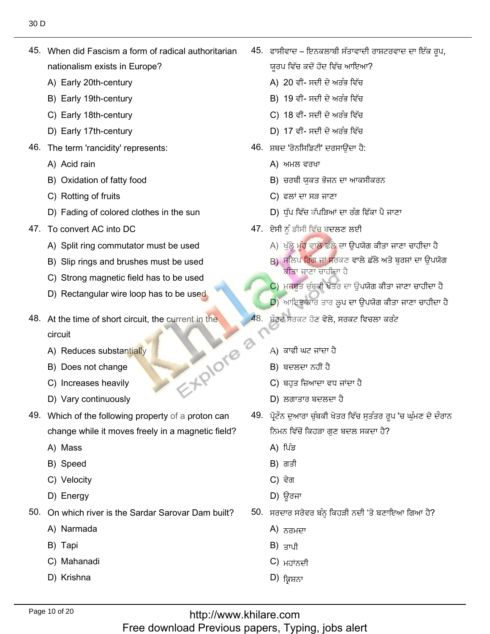45. When did Fascism a form of radical authoritarian nationalism exists in Europ<br>A) Earlv 20th-centurv

 $\mathcal{A}_1$  , when did fascism a form of radical authoritarian form of  $\mathcal{A}_2$ 

- A) Early 20th-century<br>B) Earlv 19th-centurv
- B) Early 19th-century
- B) Early 19th-century<br>C) Early 18th-century<br>D) Early 17th-century
- D) Early 17th-century
- The term 'rancidit<br>A) Acid rain
	- A) Acid rain
	- A) Acid rain<br>B) Oxidation of fatty food<br>C) Rotting of fruits
	- C) Rotting of fruits
- C) Rotting of fruits<br>D) Fading of colored clothes in the sun
- 47. To convert AC into DC
	- To convert AC into DC<br>A) Split ring commutator must be used<br>B) Slip rings and brushes must be used
	- B) Slip rings and brushes must be used<br>C) Strong magnetic field has to be used
	- C) Strong magnetic field has to be used<br>D) Rectangular wire loop has to be used
- $\mathcal{A}$
- 48. At the time of short circuit, the current in the circuit B<br>
29. Which of the following property<br>
29. Which of a property property of a property of a property of a property of a<br>
29. Which of a property of a property of a property of a property of a<br>
29. Which of a property of a
	- circuit<br>A) Reduces substantially<br>B) Does not change
	- B) Does not change<br>C) Increases heavily
	- C) Increases heavily<br>D) Varv continuouslv
	-
- 49. Which of the following property of a proton can change while i<br>A) Mass
	- A) Mass
	- A) Mass<br>B) Speed
	- B) Speed<br>C) Velocity<br>D) Enerav
	- D) Energy
- On which river is t<br>A) Narmada
	- A) Narm<br>B) Tapi
	- B) Tapi
	- B) Tapi<br>C) Mahanadi<br>D) Krishna
	-

?اباصٍٓ٬فᶦِᶦفذصٍٓ٬ليٖى ,لٖيذ٬بْففٍْيغَْئفٍْْؿُٔ٬نًْذكب ñفٍُْْٔم 45.

ਯੂਰਪ ਵਿੱਚ ਕਦੋਂ ਹੋਂਦ ਵਿੱਚ ਆਇਆ<br>A) 20 ਵੀਂ- ਸਦੀ ਦੇ ਅਰੰਭ ਵਿੱਚ

- A) 20 ਵੀਂ- ਸਦੀ ਦੇ ਅਰੰਭ ਵਿੱਚ A) 20 ਵੀਂ- ਸਦੀ ਦੇ ਅਰੰਭ ਵਿੱਚ<br>B) 19 ਵੀਂ- ਸਦੀ ਦੇ ਅਰੰਭ ਵਿੱਚ
- 
- B) 19 ਵੀਂ- ਸਦੀ ਦੇ ਅਰੰਭ ਵਿੱਚ<br>C) 18 ਵੀਂ- ਸਦੀ ਦੇ ਅਰੰਭ ਵਿੱਚ
- C) 18 ਵੀਂ- ਸਦੀ<br>D) 17 ਵੀਂ- ਸਦੀ اً D) 17 ਵੀਂ- ਸਦੀ ਦੇ ਅਰੰਭ ਵਿੱਚ<br>ف<del>ِينَ الْعَبِّينَ الْعَبَادُ الْعَبَّيْنَ الْعَبَّ</del>
	- <sup>;</sup> ਸ਼ਬਦ 'ਰੇਨਸਿਡਿਟੀ ਸ਼ਬਦ 'ਰੇਨਸਿਡਿਟੀ' ਦਰਸਾਉਂਦਾ ਹੈ:<br>A) ਅਮਲ ਵਰਖਾ
		-
		- A) ਅਮਲ ਵਰਖਾ<br>B) ਚਰਬੀ ਯੁਕਤ ਭੋਜਨ<br>C) ਫਲਾਂ ਦਾ ਸੜ ਜਾਣਾ
		- $C$ ) ਫਲਾਂ ਦਾ ਸੜ ਜਾਣਾ
- C) ਫਲਾਂ ਦਾ ਸੜ ਜਾਣਾ<br>D) ਧੁੱਪ ਵਿੱਚ ਕੱਪੜਿਆਂ ਦਾ ਰੰਗ ਫਿੱਕਾ ਪੈ <sup>;</sup><br>47. ਏਸੀ ਨੂੰ ਡੀਸੀ ਵਿੱਚ ਬਦਲਣ ਲਈ
	- 47. ਏਸੀ ਨੂੰ ਡੀਸ<u>ੀ ਵਿੱਚ ਬਦਲਣ ਲ</u>ਈ
		- ਏਸੀ ਨੂੰ ਡੀਸੀ ਵਿੱਚ ਬਦਲਣ ਲਈ<br>A) ਖੁੱਲ੍ਹੇ ਮੂੰਹ ਵਾਲੇ ਛੱਲੇ ਦਾ ਉਪਯੋਗ ਕੀਤਾ ਜਾਣਾ ਚਾਹੀਦਾ ਹੈ<br>в) ਸਲਿਪ ਰਿੰਗ ਜਾਂ ਸਰਕਣ ਵਾਲੇ ਛੱਲੇ ਅਤੇ ਬਰਸ਼ਾਂ ਦਾ ਉਪਯੋਗ
		- A) ਖੁੱਲ੍ਹੇ ਮੂੰਹ ਵਾਲੇ ਛੱਲੇ ਦਾ<br>B) ਸਲਿਪ ਰਿੰਗ ਜਾਂ ਸਰਕਣ <mark>ਕੀਤਾ ਜਾਣਾ ਚਾਹੀਦਾ</mark> ਹੈ।
		- ੱੱ ਕੀਤਾ ਜਾਣਾ ਚਾਹੀਦਾ ਹੈ<br>C) ਮਜ਼ਬੂਤ ਚੁੰਬਕੀ ਖੇਤਰ ਦਾ ਉਪਯੋਗ ਕੀਤਾ ਜਾਣਾ ਚਾਹੀਦਾ ਹੈ<br>D) ਆਇਤਾਕਾਰ ਤਾਰ ਲਪ ਦਾ ਉਪਯੋਗ ਕੀਤਾ ਜਾਣਾ ਚਾਹੀਦਾ ਹੈ
		- $D$ ) ਆਇਤਾਕਾਰ ਤਾਰ ਲਪ ਦਾ ਉਪਯੋਗ ਕੀਤਾ ਜਾਣਾ ਚਾਹੀਦਾ ਹੈ
	- ਸ਼ੌਰਟ ਸਰਕਟ ਹੋਣ ਵੇਲੇ, ਸਰਕਟ ਵਿਚਲਾ ਕਰੰਟ
		- ੱ<br>A) ਕਾਫੀ ਘਟ ਜਾਂਦਾ
		- A) ਕਾਫੀ ਘਟ ਜਾਂਦਾ ਹੈ<br>B) ਬਦਲਦਾ ਨਹੀਂ ਹੈ
		- B) ਬਦਲਦਾ ਨਹੀਂ ਹੈ<br>C) ਬਹੁਤ ਜ਼ਿਆਦਾ ਵਧ ਜ<br>D) ਲਗਾਤਾਰ ਬਦਲਦਾ ਹੈ
		-
- D) ਲਗਾਤਾਰ ਬਦਲਦਾ ਹੈ<br>49. ਪੋਟੌਨ ਦਆਰਾ ਚੰਬਕੀ ਖੇਤਰ ਵਿੱਚ ਸਤੰਤਰ ਰਪ 'ਚ ਘੰਮਣ ਦੇ ਦੌਰਾਨ ਨਿਮਨ ਵਿੱਚੋਂ ਕਿਹ<del>.</del><br>A)ੀਪੰਡ
	- A) ਪਿੰਡ
	- A) ਪਿੰਡ<br>B) ਗਤੀ
	- B) ਗਤੀ<br>C) ਵੇਗ
- C) ਵੇਗ<br>D) ਊਰਜਾ
	- ). ਸਰਦਾਰ ਸਰੋਵਰ ਬ<br>A) ਨਰਮਦਾ
		- A) ਨਰਮਦਾ<br>B) ਤਾਮੀ
		- $B$ ) ਤਾਪੀ
		- B) ਤਾਪੀ<br>C) ਮਹਾਂਨਦੀ<br>D) ਕਿਬਨਾ
		-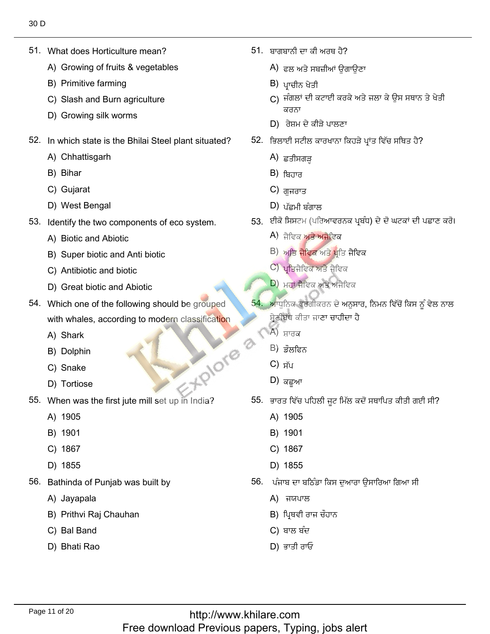51. What does Horticulture mean?

51. What does Horticulture mean?

- What does Horticulture mean?<br>A) Growing of fruits & vegetables<br>B) Primitive farming
- B) Primitive farming
- B) Primitive farming<br>C) Slash and Burn agriculture<br>D) Growing silk worms
- $\frac{1}{2}$ . In the Bhilai Steel plant situated is the Bhilai Steel plant situated?
- In which state is the E<br>A) Chhattisgarh
	- A) Chhattisga<br>B) Bihar
	- B) Bihar
	- B) Bihar<br>C) Gujarat
- C) Gujarat<br>D) West Bengal
- Identify the two componer<br>A) Biotic and Abiotic
	- A) Biotic and Abiotic
	- A) Biotic and Abiotic<br>B) Super biotic and Anti biotic<br>C) Antibiotic and biotic
	- C) Antibiotic and biotic
- C) Antibiotic and biotic<br>
D) Great biotic and Abiotic
- 54. Which one of the following should be grouped with whales, aิ<br>A) Shark
	- A) Shark
	- A) Shark<br>B) Dolphin<br>C) Snake
	- C) Snake
- D) Tortiose D) Tortiose was the first just just in India.
- When wa<br>A) 1905
	- A) 1905<br>B) 1901
	- B) 1901<br>C) 1867
	-
	- C) 1867<br>D) 1855 D) 1855
- Bathinda of Punja<br>A) Javapala
	- A) Jayapala
	- A) Jayapala<br>B) Prithvi Raj Chauhan<br>C) Bal Band
	- C) Bal Band
	- D) Bhati Rao

. ਬਾਗਬਾਨੀ ਦਾ ਕੀ ਅਰਥ ਹੈ?<br>A) ਵਲ ਅਤੇ ਬਬਜ਼ੀਆਂ ਉਗਾਉਣਾ

?ِ٘ـيئٔذْفٔكْنزْن 51.

- А) ਫਲ ਅਤੇ ਸਬ<br>В) ਮਾਜੀਨ ਮੇਤੀ
- 
- B) ਪ੍ਰਾਚੀਨ ਖੇਤੀ<br>C) ਜੰਗਲਾਂ ਦੀ ਕਟਾਈ ਕਰਕੇ ਅਤੇ ਜਲਾ ਕੇ ਉਸ ਸਥਾਨ ਤੇ ਖੇਤੀ ਕਰਨਾ  $\begin{pmatrix} 1 & 0 & 0 \\ 0 & 1 & 0 \\ 0 & 0 & 0 \end{pmatrix}$  ਰੇਸ਼ਮ ਦੇ ਕੀੜੇ ਪਾਲਣਾ
	-
	- 52. ਭਿਲਾਈ ਸਟੀਲ ਕ<br>A) ਵਤੀਸ਼ੁਗ਼ਤ
		- A) ਛੁਤੀਸਗੜ੍ਹ<br>B) <del>ਬਿ</del>ਹਾਰ
		- B) ਬਿਹਾਰ<br>C) ਗ਼ਜ਼ਰਾਤ
		- $C$ ) ਗੁਜਰਾਤ
		- $(D)$  ਪੱਛਮੀ ਬੰਗਾਲ
- D) ਪੱਛਮੀ ਬੰਗਾਲ<br>53. ਈਕੋ ਸਿਸਟਮ (ਪਰਿਆਵਰਨਕ ਪ੍ਰਬੰਧ) ਦੇ ਦੋ ਘਟਕਾਂ ਦੀ ਪਛਾਣ ਕਰੋ।<br>A) ਕੈਟਿਕ ਅਤੇ ਅਕੈਟਿਕ
	- A) ਜੈਵਿਕ <mark>ਅਤੇ ਅਜੈਵਿਕ</mark><br>B) ਅ<del>ਤਿ ਹੈਟਿਕ</del> ਅਤੇ ਮੰਤਿ ਹੈਟਿਕ
	- B) <mark>ਅਤਿ ਜੈਵਿਕ</mark> ਅਤੇ ਪ੍ਰਤਿ<br>C) ਮਤਿਕੈਵਿਕ ਅਤੇ ਕੈਵਿਕ
	- C) ਪ੍ਰਤਿਜੈਵਿਕ ਅਤੇ ਜੈਵਿਕ<br>D) ਮੂਹਾਂ ਹੈਵਿਕ ਅਤੇ ਅਹੈਵਿਕ
	- $\ket{\text{D}}$  ਮਹਾਂ ਜੈਵਿਕ ਅਤੇ ਅਜੈਵਿਕ
	- 54. ਅਾਧੁਨਿਕ ਵਰਗੀਕਰਨ ਦੇ ਅਨੁਸਾਰ, ਨਿਮਨ ਵਿੱਚੋਂ ਕਿਸ ਨੂੰ ਵੇਲ ਨਾਲ ਸ਼੍ਰੇਣੀਬੱਧ ਕੀਤਾ ਜ<mark>ਾ</mark><br>A) ਸਾਰਕ
		- A) ਸ਼ਾਰਕ<br>B) <del>ਤੌਲਟਿਨ</del>
		- B) ਡੌਲਫਿਨ<br>C) ਜ਼ੱਸ
		-
		- C) ਸੱਪ<br>D) <del>ਕਟ</del>ਆ  $\vert D \rangle$  ਕਛਅਾ
	- i. ਭਾਰਤ ਵਿੱਚ <sup>;</sup><br>A) 1905
		- A) 1905<br>B) 1901
		- B) 1901
		- B) 1901<br>C) 1867<br>D) 1855
		- ُٔازٓايُْٓتْيإفُذْٓؼ٫ػٓنْفنْط٫ل 56.
	- ُ। ਪੰਜਾਬ ਦਾ ਬਠਿੰਡ<br>А) ਜਯਪਾਲ
		-
		- A) ਜਯਪਾਲ<br>B) ਪ੍ਰਿਥਵੀ ਰਾਜ ਚੌਹਾਨ<br>C) ਬਾਲ ਬੰਦ<br>D) ਭਾਤੀ ਰਾਓ
		- C) ਬਾਲ ਬੰਦ
		-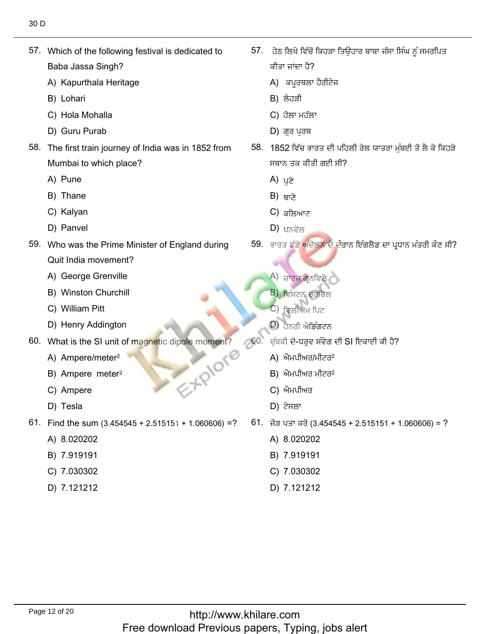57. Which of the following festival is dedicated to Baba Jassa Singh?<br>A) Kapurthala Heritage

 $\mathcal{S}_{\mathcal{A}}$  . Which of the following festival is dedicated to the following festival is dedicated to the following festival is dedicated to the following festival is dedicated to the following festival is dedicated to

- A) Kapurthala<br>B) Lohari
- B) Lohari
- B) Lohari<br>C) Hola Mohalla<br>D) Guru Purab
- C) Hola Mohalla C) ਹੋਲਾ ਮਹੱਲ<br>D) Guru Purab D) ਗੁਰ ਪੁਰਬ
- 58. The first train journey of India was in 1852 from Mumbai to wh<br>A) Pune
	- A) Pune
	- A) Pune<br>B) Thane<br>C) Kalvan
	- C) Kalyan<br>D) Panvel
	- D) Panvel
- 59. Who was the Prime Minister of England during Quit India movement?<br>A) George Grenville
	- A) George Grenville
	- A) George Grenville<br>B) Winston Churchill<br>C) William Pitt
	- C) William Pitt
- C) William Pitt<br>
D) Henry Addington
- What is the SI unit of ma<br>A) Ampere/meter<sup>2</sup> EXPIONE
	- A) Ampere/meter<sup>2</sup><br>B) Ampere meter<sup>2</sup>
	- B) Ampere met<br>C) Ampere
	- C) Ampere<br>D) Tesla
	- D) Tesla
- Find the sum (3.45<br>A) 8.020202
	- A) 8.020202<br>B) 7.919191
	- B) 7.919191<br>C) 7.030302
	- C) 7.030302<br>D) 7.121212
	-

'.ਂ ਹੇਠ ਲਿਖੇ ਵਿੱਚੋਂ l ਜਾਂਦਾ ਹੈ?

ؿلٓيوٖ٫ُكس٬ُُْٓ٫طْنْنيِْتؿِْٟٓذٓᶦصٍٗٓ٬رًٓػِٗ 57.

- ਕੀਤਾ ਜਾਂਦਾ ਹੈ?<br>A) ਕਪੂਰਥਲਾ ਹੈ<br>B) ਲੋਹੜੀ
- 
- B) ਲੋਹੜੀ<br>C) ਹੋਲਾ ਮਹੱਲਾ
- $D$ ) ਗਰ ਪਰਬ
- 58. 1852 ਵਿੱਚ ਭਾਰਤ ਦੀ ਪਹਿ ਸਥਾਨ ਤਕ ਕੀਤੀ<br>A) <sub>ਪ</sub>ੜੇ
	- A) ਪੁਣੇ<br>B) <sub>ਸਾਣੇ</sub>
	- $B$ ) ਬਾਣੇ
	- B) ਥਾਣੇ<br>C) ਕਲਿਆਣ<br>D) ਮਨਵੇਲ
	- $D$ ) ਪਨਵੇਲ

59. ਭਾਰਤ ਛੱਡੋ ਅੰਦੋਲਨ ਦੇ ਦੌਰਾਨ ਇੰਗਲੈਂਡ ਦਾ ਪ੍ਰਧਾਨ ਮੰਤਰੀ ਕੌਣ ਸੀ?

K<br>A) ਜਾਰਜ ਗ੍ਰੇਨਵਿਲੇ<br>B) ਵਿੰਬਟਨ ਜ਼ਰਜ਼ਿਲ

ًٍٓٗكٗᴆزطيْط

- <mark>B) ਵਿੰਸਟਨ ਚਰ</mark>ਚਿ<br>C) ਵਿਲੀਅਮ ਪਿਟ
- C) ਵਿਲੀਅਮ ਪਿਟ<br>D) ਰੈਨਰੀ ਐਤਿੰਗਟਨ
- $\ket{D}$  ਹੈਨਰੀ ਐਡਿੰਗਟਨ
- ≂ ਚੁੰਬਕੀ ਦੋ-ਧਰੁਵ ਸੰਵੇਗ<br>A) ਐਮਪੀਅਰ/ਮੀਟਰ<sup>2</sup>
	- $A$ ) ਐਮਪੀਅਰ/ਮੀਟਰ $2$
	- A) ਐਮਪੀਅਰ/ਮੀ<br>B) ਐਮਪੀਅਰ ਮੀ<br>C) ਐਮਪੀਅਰ
	- C) ਐਮਪੀਅਰ<br>D) ਟੇਸਲਾ
	- $D$ ) ਟੇਸਲਾ
- . ਜੋੜ ਪਤਾ ਕਰੋ (3.45454<br>A) 8.020202
	- A) 8.020202<br>B) 7.919191
	- B) 7.919191<br>C) 7.030302
	- C) 7.030302<br>D) 7.121212
	-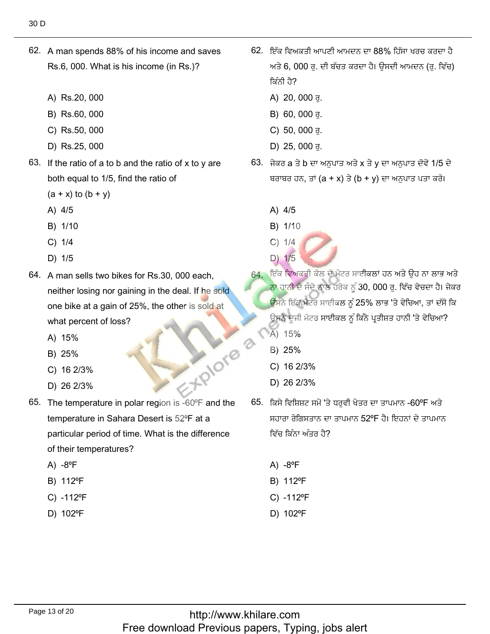- 62. A man spends 88% of his income and saves Rs.6, 000. What is his income (in Rs.)?
	- A) Rs.20, 000
	- B) Rs.60, 000
	- C) Rs.50, 000
	- D) Rs.25, 000
- 63. If the ratio of a to b and the ratio of x to y are both equal to 1/5, find the ratio of
	- $(a + x)$  to  $(b + y)$
	- A) 4/5
	- B) 1/10
	- $C) 1/4$
	- D) 1/5
- 64. A man sells two bikes for Rs.30, 000 each, neither losing nor gaining in the deal. If he sold one bike at a gain of 25%, the other is sold at what percent of loss?
	- A) 15%
	- B) 25%
	- C) 16 2/3%
	- D) 26 2/3%
- EXPIONE 65. The temperature in polar region is -60°F and the temperature in Sahara Desert is 52°F at a particular period of time. What is the difference of their temperatures?
	- $A) -8^{\circ}F$
	- B) 112°F
	- C) -112°F
	- D) 102°F
- 62. ਇੱਕ ਵਿਅਕਤੀ ਆਪਣੀ ਆਮਦਨ ਦਾ 88% ਹਿੱਸਾ ਖਰਚ ਕਰਦਾ ਹੈ ਅਤੇ 6, 000 ਰ. ਦੀ ਬੱਚਤ ਕਰਦਾ ਹੈ। ਉਸਦੀ ਆਮਦਨ (ਰ. ਵਿੱਚ) ਕਿੰਨੀ ਹੈ?
	- A) 20, 000 ਰ.
	- B) 60, 000 ਰੁ.
	- C) 50, 000 ਰੁ.
	- D) 25, 000 ਰੁ.
- 63. ਜੇਕਰ a ਤੇ b ਦਾ ਅਨਪਾਤ ਅਤੇ x ਤੇ γ ਦਾ ਅਨਪਾਤ ਦੋਵੇਂ 1/5 ਦੇ ਬਰਾਬਰ ਹਨ, ਤਾਂ (a + x) ਤੇ (b + y) ਦਾ ਅਨੁਪਾਤ ਪਤਾ ਕਰੋ।
	- A) 4/5
	- B) 1/10
	- $C) 1/4$ D) 1/5
- 64. ਇੱਕ ਵਿਅਕਤੀ ਕੋਲ ਦੋ ਮੋਟਰ ਸਾਈਕਲਾਂ ਹਨ ਅਤੇ ਉਹ ਨਾ ਲਾਭ ਅਤੇ <mark>ਨਾ ਹਾਨੀ ਦੇ ਸੌਦੇ ਨਾਲ ਹਰੇਕ ਨੂੰ 30, 000 ਰੂ. ਵਿੱਚ ਵੇਚਦਾ ਹੈ। ਜੇਕਰ</mark> ਉਸਨੇ ਇੱਕ ਮੋਟਰ ਸਾਈਕਲ ਨੂੰ 25% ਲਾਭ 'ਤੇ ਵੇਚਿਆ, ਤਾਂ ਦੱਸੋ ਕਿ ਉਸਨੇ ਦੂਜੀ ਮੋਟਰ ਸਾਈਕਲ ਨੂੰ ਕਿੰਨੇ ਪ੍ਰਤੀਸ਼ਤ ਹਾਨੀ 'ਤੇ ਵੇਚਿਆ?
	- A) 15%
	- B) 25%
	- C) 16 2/3%
	- D) 26 2/3%
- 65. ਕਿਸੇ ਵਿਸ਼ਿਸ਼ਟ ਸਮੇਂ 'ਤੇ ਧਰਵੀ ਖੇਤਰ ਦਾ ਤਾਪਮਾਨ -60°F ਅਤੇ ਸਹਾਰਾ ਰੇਗਿਸਤਾਨ ਦਾ ਤਾਪਮਾਨ 52ºF ਹੈ। ਇਹਨਾਂ ਦੇ ਤਾਪਮਾਨ ਵਿੱਚ ਕਿੰਨਾ ਅੰਤਰ ਹੈ?
	- A)  $-8^{\circ}F$
	- B) 112°F
	- C) -112°F
	- D) 102°F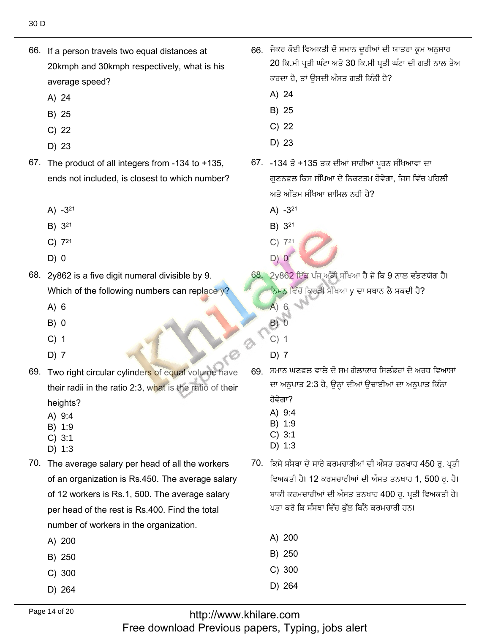66. If a person travels two equal distances at

- وᴡ ْيؿْى ٔف إأيٖف كْوُٙف ٔؿذئٍٓ ةٙذ يذٗط 66. ئ٘ؿًْكٔؿزٔفْغ٫سٔؿᴆلٔوذٓ ٗ30ؿئْغ٫سٔؿᴆلٔوذٓ 2066. If a person travels two equal distances at 20 ਕਿ.ਮੀ ਪਤੀ ਘੰਟਾ ਅਤੇ 30 ਕਿ.ਮੀ ਪਤੀ ਪ 20kmph and 30kmph respectively, what is his ਕਰਦਾ ਹੈ, ਤਾਂ ਉ<br>A) 24 average sp<br>A) 24 A) 24<br>B) 25 A) 24<br>B) 25 B) 25<br>C) 22 B) 25<br>C) 22 C) 22<br>D) 23 C) 22<br>D) 23 D) 23  $\Box$ ) 23 67. The product of all integers from  $-134$  to  $+135$ , ً، -134 ਤੋਂ +135 ਤਕ ਦੀਆਂ ਸਾਰੀਆਂ ਪਰਨ ਸੰਖਿਆਵਾਂ ਦਾ ਗੁਣਨਫਲ ਕਿਸ ਸੰਖਿਆ ਦੇ ਨਿਕਟਤਮ ਹੋ<sup>;</sup><br>ਅਤੇ ਅੰਤਿਮ ਸੰਖਿਆ ਸ਼ਾਮਿਲ ਨਹੀਂ ਹੈ?<br>A) -3<sup>21</sup> ends not included, is closest to which number? ਅਤੇ ਅੰਤਿਮ ਸੰਖਿਆ ਸ਼ਾਮਿਲ ਨਹੀਂ ਹੈ? A)  $-3^{21}$ <br>B)  $3^{21}$ A) -3<sup>21</sup><br>B) 3<sup>21</sup> B) 3<sup>21</sup>  $B) 3<sup>21</sup>$ B) 3<sup>21</sup><br>C) 7<sup>21</sup><br>D) 0 B)  $3^{21}$ <br>C)  $7^{21}$ <br>D) 0  $D)$  0.  $\blacksquare$  $D)$  0 .<br>• 2γ862 ਇੱਕ ਪੰਜ ਅੰਕੀ ਸੰਖਿਆ ਹੈ ਜੋ ਕਿ 9 ਨਾਲ ਵੰਡਣ 68. 2y862 is a five digit numeral divisible by 9. Which of t<br>A) 6 ਨਿਮਨ ਵਿੱਚੋਂ ਕਿ<br>A) 6  $(A)$  6  $A) 6$ 6<br>0  $(A)$  6  $\mathbb{C}$ <br>B) 0 ੈ<br>ੈ) <sup>2</sup><br>ੋਮਾਨ ਘਣਫਲ ਵਾਲੇ ਦੋ ਸਮ ਗੋਲਾਕਾਰ ਸਿਲੰਡਰਾਂ ਦੇ<br>ਜਾਅਨੁਪਾਤ 2:3 ਹੈ, ਉਨ੍ਹਾਂ ਦੀਆਂ ਉਚਾਈਆਂ ਦਾ ਅਟ<br>ਹੋਵੇਗਾ?<br>Å) 9:4<br>ੈ) 1:9<br>C) 3:1<br>D) 1:3<br>ਕਿਸੇ ਸੰਸਥਾ ਦੇ ਸਾਰੇ ਕਰਮਚਾਰੀਆਂ ਦੀ ਔਸਤ ਤਨਖਾਹ<br>ਵਿਅਕਤੀ ਹੈ। 12 ਕਰਮਚਾਰੀਆਂ ਦੀ ਔਸਤ ਤਨਖਾਹ<br>ਸਾਰੀ ਕਰਮਚਾਰੀਆ  $B)$  0 0<br>1  $\begin{array}{c} 0 \\ 1 \end{array}$  $C)$  1 1<br>7  $C)$  1 1<br> $\overline{7}$ is (U) 2<br>19. ਸਮਾਨ ਘਣਫਲ ਵਾਲੇ ਦੋ ਸਮ ਗੋਲਾਕਾਰ ਸਿਲੰਡਰਾਂ ਦੇ ਅਰਧ ਵਿਆਸਾਂ  $D$ ) 7 Two right contract contract contract contract contract contract contract contract contract contract contract contract contract contract contract contract contract contract contract contract contract contract contra 69. Two right circular cylinders of equal volume have ਦਾ ਅਨਪਾਤ  $2:3$ their radii in the ratio 2:3, what is the ratio of their heights? A) 9:4 A) 9:4 B) 1:9 B) 1:9 C) 3:1 C) 3:1 D) 1:3  $D$ ) 1:3  $\Box$  1:3 70. The average salary per head of all the workers <sup>)</sup>. ਕਿਸੇ ਸੰਸਥਾ ਦੇ ਸਾਰੇ ਕਰਮਚਾਰੀਆਂ ਦੀ ਔਸਤ ਤਨਖਾਹ 450 ਰ. ਪਤੀ ਵਿਅਕਤੀ ਹੈ। 12 ਕਰਮਚਾਰੀਆਂ ਦੀ ਔਸਤ ਤਨਖਾਹ 1, 500 ਰ. ਹੈ। of an organization is Rs.450. The average salary of 12 workers is Rs.1, 500. The average salary ਬਾਕੀ ਕਰਮਚਾਰੀਆਂ ਦੀ ਔਸਤ ਤਨਖਾਹ 400 ਰ. ਪਤੀ ਵਿਅਕਤੀ ਹੈ। ਪਤਾ ਕਰੋ ਕਿ ਸੰਸਥਾ ਵਿੱਚ ਕੁੱਲ ਕਿੰਨੇ ਕਰਮਚਾਰੀ ਹਨ। per head of the rest is Rs.400. Find the total <sup>200</sup> B) <sup>250</sup> number of w<br>A) 200 A) 200<br>B) 250 B) 250<br>C) 300 B) 250<br>C) 300<br>D) 264 B) 250  $C) 300$ 
	- D) 264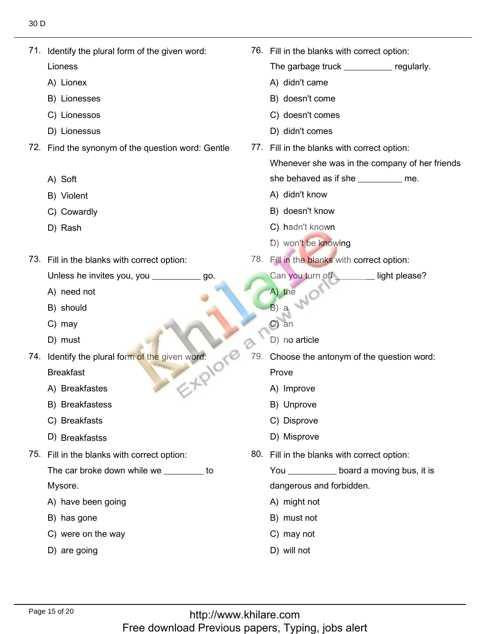| 71. Identify the plural form of the given word:   |     | 76. Fill in the blanks with correct option:    |
|---------------------------------------------------|-----|------------------------------------------------|
| Lioness                                           |     | The garbage truck _____________ regularly.     |
| A) Lionex                                         |     | A) didn't came                                 |
| B) Lionesses                                      |     | B) doesn't come                                |
| C) Lionessos                                      |     | C) doesn't comes                               |
| D) Lionessus                                      |     | D) didn't comes                                |
| 72. Find the synonym of the question word: Gentle |     | 77. Fill in the blanks with correct option:    |
|                                                   |     | Whenever she was in the company of her friends |
| A) Soft                                           |     | she behaved as if she _________ me.            |
| B) Violent                                        |     | A) didn't know                                 |
| C) Cowardly                                       |     | B) doesn't know                                |
| D) Rash                                           |     | C) hadn't known                                |
|                                                   |     | D) won't be knowing                            |
| 73. Fill in the blanks with correct option:       |     | 78. Fill in the blanks with correct option:    |
| Unless he invites you, you __________<br>go.      |     | Can you turn off<br>light please?              |
| A) need not                                       |     | A) the                                         |
| B) should                                         |     | B) a                                           |
| C) may                                            |     | $\mathcal{C}$<br>an                            |
| D) must                                           |     | D) no article                                  |
| 74. Identify the plural form of the given word:   | 79. | Choose the antonym of the question word:       |
| <b>Breakfast</b>                                  |     | Prove                                          |
| A) Breakfastes                                    |     | A) Improve                                     |
| B) Breakfastess                                   |     | B) Unprove                                     |
| C) Breakfasts                                     |     | C) Disprove                                    |
| D) Breakfastss                                    |     | D) Misprove                                    |
| 75. Fill in the blanks with correct option:       |     | 80. Fill in the blanks with correct option:    |
| The car broke down while we ________ to           |     | You _____________ board a moving bus, it is    |
| Mysore.                                           |     | dangerous and forbidden.                       |
| A) have been going                                |     | A) might not                                   |
| B) has gone                                       |     | B) must not                                    |
| C) were on the way                                |     | C) may not                                     |
| D) are going                                      |     | D) will not                                    |
|                                                   |     |                                                |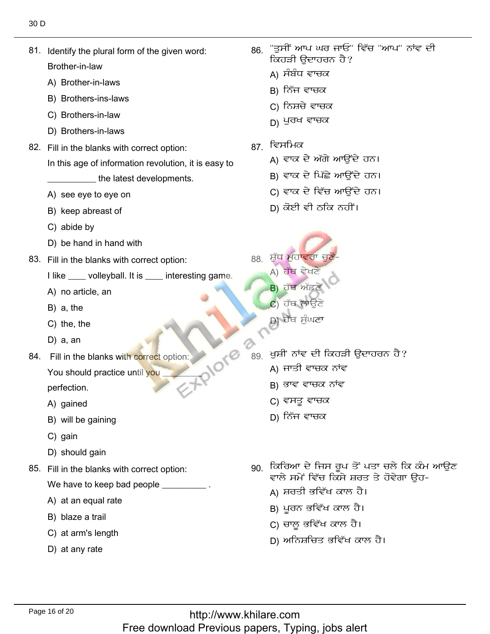- 81. Identify the plural form of the given word: Brother-in-law Brother-in-law<br>A) Brother-in-laws<br>B) Brothers-ins-laws
	-
	- B) Brothers-ins-laws
	- B) Brothers-ins-laws<br>C) Brothers-in-law<br>D) Brothers-in-laws
	- D) Brothers-in-laws
- 82. Fill in the blanks with correct option:
	- In this age of information revolution, it is easy to
	- \_\_\_\_\_\_\_\_\_\_ the latest dev<br>A) see eve to eve on
	- A) see eye to eye on
	- A) see eye to eye c<br>B) keep abreast of<br>C) abide bv
	- C) abide by
- C) abide by<br>D) be hand in hand with
- 83. Fill in the blanks with correct option:
	- I like \_\_\_\_ volleyball. I<br>A) no article, an
	- A) no article, a<br>B) a. the
	- $B)$  a, the
	- B) a, the<br>C) the, the<br>D) a. an
	- D) a, an
- 84. Fill in the blanks with correct option:

You should practice until you

perfection.<br>A) gained

- A) gained
- A) gained<br>B) will be gaining<br>C) gain
- C) gain
- C) gain<br>D) should gain
- 85. Fill in the blanks with correct option: We have to keep bad pe<br>A) at an equal rate
	- A) at an equal rate<br>B) blaze a trail
	- B) blaze a trail
	- B) blaze a trail<br>C) at arm's length<br>D) at anv rate
	-
- "ਤਸੀਂ ਆਪ ਘਰ ਜਾਓ" ਵਿੱਚ "ਆਪ" ਨਾਂਵ ਦੀ 86. ਕਿਹੜੀ ੳਦਾਹਰਨ ਹੈ?
	- A) ਸੰਬੰਧ ਵਾਚਕ
	- B) ਨਿੱਜ ਵਾਚਕ
	- C) ਨਿਸ਼ਚੇ ਵਾਚਕ
	- $D$ ) ਪੁਰਖ ਵਾਚਕ
- ਵਿਸਮਿਕ

86.<br>86. september - Paul Barnett, amerikansk politiker<br>86. september - Paul Barnett, amerikansk politiker<br>86. september - Paul Barnett, amerikansk politiker

- A) ਵਾਕ ਦੇ ਅੱਗੇ ਆਉਂਦੇ ਹਨ।
- B) ਵਾਕ ਦੇ ਪਿੱਛੇ ਆਉਂਦੇ ਹਨ।
- C) ਵਾਕ ਦੇ ਵਿੱਚ ਆਉਂਦੇ ਹਨ।
- D) ਕੋਈ ਵੀ ਠਕਿ ਨਹੀਂ।
- ਸ਼ੱਧ ਮਹਾਵਰਾ ਚਣੋਂ-A) ਹੱਥ ਵੇਖਣੇ
- $\overrightarrow{B}$ ) ਹੱਥ ਅੱਡਣੇ  $\mathbf{C}$ ) ਹੱਥ ਲਾਉਣੇ
- b) ਹੱਥ ਸੁੰਘਣਾ

 $\alpha$ 

- ਖਸ਼ੀ' ਨਾਂਵ ਦੀ ਕਿਹੜੀ ੳਦਾਹਰਨ ਹੈ?
	- A) ਜਾਤੀ ਵਾਚਕ ਨਾਂਵ
	- B) ਭਾਵ ਵਾਚਕ ਨਾਂਵ
	- C) ਵਸਤੂ ਵਾਚਕ
	- $D$ ) ਨਿੱਜ ਵਾਚਕ
- 90. ਕਿਰਿਆ ਦੇ ਜਿਸ ਰੂਪ ਤੋਂ ਪਤਾ ਚਲੇ ਕਿ ਕੰਮ ਆਉਣ ਵਾਲੇ ਸਮੇਂ ਵਿੱਚ ਕਿਸੇ ਸ਼ਰਤ ਤੇ ਹੋਵੇਗਾ ੳਹ-
	- A) ਸ਼ਰਤੀ ਭਵਿੱਖ ਕਾਲ ਹੈ।
	- B) ਪੂਰਨ ਭਵਿੱਖ ਕਾਲ ਹੈ।
	- C) ਚਾਲੂ ਭਵਿੱਖ ਕਾਲ ਹੈ।
	- D) ਅਨਿਸ਼ਚਿਤ ਭਵਿੱਖ ਕਾਲ ਹੈ।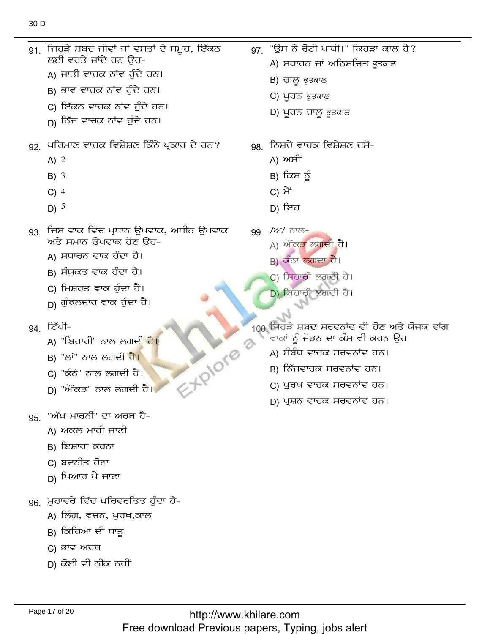$A)$  2

91. ਜਿਹੜੇ ਸ਼ਬਦ ਜੀਵਾਂ ਜਾਂ ਵਸਤਾਂ ਦੇ ਸਮੂਹ, ਇੱਕਠ

92. ਪਰਿਮਾਣ ਵਾਚਕ ਵਿਸ਼ੇਸ਼ਣ ਕਿੰਨੇ ਪ੍ਰਕਾਰ ਦੇ ਹਨ?

ਲਈ ਵਰਤੇ ਜਾਂਦੇ ਹਨ ਉਹ-

A) ਜਾਤੀ ਵਾਚਕ ਨਾਂਵ ਹੁੰਦੇ ਹਨ।

B) ਭਾਵ ਵਾਚਕ ਨਾਂਵ ਹੁੰਦੇ ਹਨ।

C) ਇੱਕਠ ਵਾਚਕ ਨਾਂਵ ਹੁੰਦੇ ਹਨ।

<sub>D)</sub> ਨਿੱਜ ਵਾਚਕ ਨਾਂਵ ਹੁੰਦੇ ਹਨ।

|     | $B)$ 3<br>$C)$ 4<br>D) $^5$                                                                                                                                                             | B) ਕਿਸ ਨੂੰ<br>C) ਮੈਂ<br>D) ਇਹ                                                                                                                                          |
|-----|-----------------------------------------------------------------------------------------------------------------------------------------------------------------------------------------|------------------------------------------------------------------------------------------------------------------------------------------------------------------------|
| 93. | ਜਿਸ ਵਾਕ ਵਿੱਚ ਪ੍ਰਧਾਨ ਉਪਵਾਕ, ਅਧੀਨ ਉਪਵਾਕ<br>ਅਤੇ ਸਮਾਨ ਉਪਵਾਕ ਹੋਣ ਉਹ-<br>A) ਸਧਾਰਨ ਵਾਕ ਹੁੰਦਾ ਹੈ।<br>В) ਸੰਯੁਕਤ ਵਾਕ ਹੁੰਦਾ ਹੈ।<br>C) ਮਿਸ਼ਰਤ ਵਾਕ ਹੁੰਦਾ ਹੈ।<br><sub>D)</sub> ਗੁੰਝਲਦਾਰ ਵਾਕ ਹੁੰਦਾ ਹੈ। | 99. /ਅ/ ਨਾਲ-<br>A) ਔਂਕੜ ਲਗਦੀ ਹੈ।<br>B) ਕੰਨਾ ਲਗਦਾ ਹੈ।<br>C) ਸਿਹਾਰੀ ਲਗਦੀ ਹੈ।<br>D) ਬਿਹਾਰੀ ਲਗਦੀ ਹੈ।                                                                       |
|     | 94. ਟਿੱਪੀ-<br>A) "ਬਿਹਾਰੀ" ਨਾਲ ਲਗ <u>ਦੀ ਹੈ।</u><br><b>APIOTE</b><br>B) "ਲਾਂ" ਨਾਲ ਲਗਦੀ ਹੈ <mark>।</mark><br>C) "ਕੰਨੇ" ਨਾਲ ਲਗਦੀ ਹੈ।<br>D) "ਔਂਕੜ" ਨਾਲ ਲਗਦੀ ਹੈ।                              | 100 ਜਿਹੜੇ ਸ਼ਬਦ ਸਰਵਨਾਂਵ ਵੀ<br><sup>'</sup> ਵਾਕਾਂ ਨੂੰ ਜੋੜਨ ਦਾ ਕੰਮ ਵੀ<br>A) ਸੰਬੰਧ ਵਾਚਕ ਸਰਵਨਾਂਵ<br>в) ਨਿੱਜਵਾਚਕ ਸਰਵਨਾਂਵ ਹ<br>C) ਪੂਰਖ ਵਾਚਕ ਸਰਵਨਾਂਵ<br>D) ਪ੍ਰਸ਼ਨ ਵਾਚਕ ਸਰਵਨਾਂਵ |
| 95. | "ਅੱਖ ਮਾਰਨੀ" ਦਾ ਅਰਥ ਹੈ-<br>A) ਅਕਲ ਮਾਰੀ ਜਾਣੀ<br>B) ਇਸ਼ਾਰਾ ਕਰਨਾ<br>C) ਬਦਨੀਤ ਹੋਣਾ<br><sub>D)</sub> ਪਿਆਰ ਪੈ ਜਾਣਾ                                                                             |                                                                                                                                                                        |
| 96. | ਮੁਹਾਵਰੇ ਵਿੱਚ ਪਰਿਵਰਤਿਤ ਹੁੰਦਾ ਹੈ-<br>A) ਲਿੰਗ, ਵਚਨ, ਪੁਰਖ,ਕਾਲ<br>в) ਕਿਰਿਆ ਦੀ ਧਾਤੁ<br>C) ਭਾਵ ਅਰਥ<br>ן) ਕੋਈ ਵੀ ਠੀਕ ਨਹੀਂ                                                                       |                                                                                                                                                                        |
|     | Page 17 of 20                                                                                                                                                                           | http://www.khilare.com<br>Free download Previous papers, Typing, jobs alert                                                                                            |
|     |                                                                                                                                                                                         |                                                                                                                                                                        |

- $97$  "ਉਸ ਨੇ ਰੋਟੀ ਖਾਧੀ।" ਕਿਹੜਾ ਕਾਲ ਹੈ? A) ਸਧਾਰਨ ਜਾਂ ਅਨਿਸ਼ਚਿਤ ਭੁਤਕਾਲ B) ਚਾਲੁ ਭੁਤਕਾਲ C) ਪੁਰਨ ਭੁਤਕਾਲ
	- D) ਪੁਰਨ ਚਾਲੁ ਭੁਤਕਾਲ
	- 98. ਨਿਸ਼ਚੇ ਵਾਚਕ ਵਿਸ਼ੇਸ਼ਣ ਦਸੋ-
		- A) ਅਸੀਂ
		- В) ਕਿਸ ਨੂੰ
		- J
	- न्ਲ-
		- <del>ਕੜ</del> ਲਗਦੀ ਹੈ।
		- ਾ <mark>ਲਗਦਾ ਹੈ</mark>।
		- <mark>ਸਾਰੀ ਲਗਦੀ ਹੈ।</mark>
		- <u>ਸਾਰੀ ਲਗਦੀ ਹੈ।</u>
	- ਸ਼ਬਦ ਸਰਵਨਾਂਵ ਵੀ ਹੋਣ ਅਤੇ ਯੋਜਕ ਵਾਂਗ <sub>ਮ</sub>ੂੰ ਜੋੜਨ ਦਾ ਕੰਮ ਵੀ ਕਰਨ ਉਹ
		- <sup>;</sup>ਧ ਵਾਚਕ ਸਰਵਨਾਂਵ ਹਨ।
		- ਜਵਾਚਕ ਸਰਵਨਾਂਵ ਹਨ।
		- ਖ ਵਾਚਕ ਸਰਵਨਾਂਵ ਹਨ।
		- ਨ ਵਾਚਕ ਸਰਵਨਾਂਵ ਹਨ।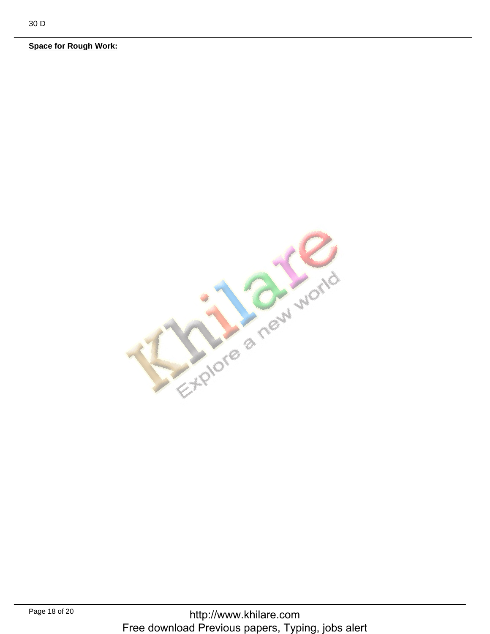**Space for Rough Work:** 

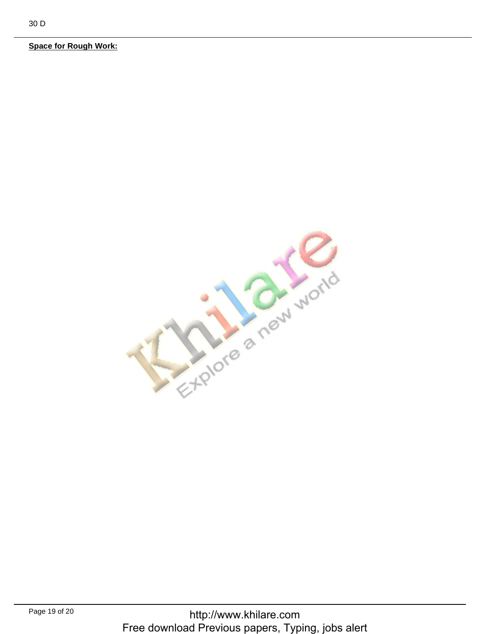**Space for Rough Work:**